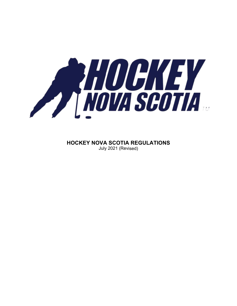

**HOCKEY NOVA SCOTIA REGULATIONS** July 2021 (Revised)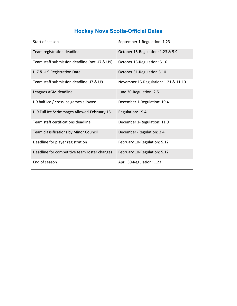# **Hockey Nova Scotia-Official Dates**

| Start of season                              | September 1-Regulation: 1.23         |
|----------------------------------------------|--------------------------------------|
| Team registration deadline                   | October 15-Regulation: 1.23 & 5.9    |
| Team staff submission deadline (not U7 & U9) | October 15-Regulation: 5.10          |
| U 7 & U 9 Registration Date                  | October 31-Regulation 5.10           |
| Team staff submission deadline U7 & U9       | November 15-Regulation: 1.21 & 11.10 |
| Leagues AGM deadline                         | June 30-Regulation: 2.5              |
| U9 half ice / cross ice games allowed        | December 1-Regulation: 19.4          |
| U 9 Full Ice Scrimmages Allowed-February 15  | Regulation: 19.4                     |
| Team staff certifications deadline           | December 1-Regulation: 11.9          |
| Team classifications by Minor Council        | December - Regulation: 3.4           |
| Deadline for player registration             | February 10-Regulation: 5.12         |
| Deadline for competitive team roster changes | February 10-Regulation: 5.12         |
| End of season                                | April 30-Regulation: 1.23            |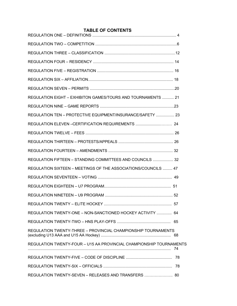### **TABLE OF CONTENTS**

| REGULATION EIGHT - EXHIBITON GAMES/TOURS AND TOURNAMENTS  21        |  |
|---------------------------------------------------------------------|--|
|                                                                     |  |
| REGULATION TEN - PROTECTIVE EQUIPMENT/INSURANCE/SAFETY  23          |  |
| REGULATION ELEVEN -CERTIFICATION REQUIREMENTS  24                   |  |
|                                                                     |  |
|                                                                     |  |
|                                                                     |  |
| REGULATION FIFTEEN - STANDING COMMITTEES AND COUNCILS  32           |  |
| REGULATION SIXTEEN - MEETINGS OF THE ASSOCIATIONS/COUNCILS  47      |  |
|                                                                     |  |
|                                                                     |  |
|                                                                     |  |
|                                                                     |  |
| REGULATION TWENTY-ONE - NON-SANCTIONED HOCKEY ACTIVITY  64          |  |
|                                                                     |  |
| REGULATION TWENTY-THREE - PROVINCIAL CHAMPIONSHIP TOURNAMENTS       |  |
| REGULATION TWENTY-FOUR - U15 AA PROVINCIAL CHAMPIONSHIP TOURNAMENTS |  |
|                                                                     |  |
|                                                                     |  |
| REGULATION TWENTY-SEVEN - RELEASES AND TRANSFERS  80                |  |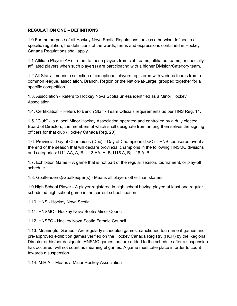#### **REGULATION ONE – DEFINITIONS**

1.0 For the purpose of all Hockey Nova Scotia Regulations, unless otherwise defined in a specific regulation, the definitions of the words, terms and expressions contained in Hockey Canada Regulations shall apply.

1.1 Affiliate Player (AP) - refers to those players from club teams, affiliated teams, or specially affiliated players when such player(s) are participating with a higher Division/Category team.

1.2 All Stars - means a selection of exceptional players registered with various teams from a common league, association, Branch, Region or the Nation-at-Large, grouped together for a specific competition.

1.3. Association - Refers to Hockey Nova Scotia unless identified as a Minor Hockey Association.

1.4. Certification – Refers to Bench Staff / Team Officials requirements as per HNS Reg. 11.

1.5. "Club" - Is a local Minor Hockey Association operated and controlled by a duly elected Board of Directors, the members of which shall designate from among themselves the signing officers for that club (Hockey Canada Reg. 20)

1.6. Provincial Day of Champions (Doc) – Day of Champions (DoC) – HNS sponsored event at the end of the season that will declare provincial champions in the following HNSMC divisions and categories: U11 AA, A, B; U13 AA, A, B; U15 A, B; U18 A, B.

1.7. Exhibition Game – A game that is not part of the regular season, tournament, or play-off schedule.

1.8. Goaltender(s)/Goalkeeper(s) - Means all players other than skaters

1.9 High School Player - A player registered in high school having played at least one regular scheduled high school game in the current school season.

1.10. HNS - Hockey Nova Scotia

1.11. HNSMC - Hockey Nova Scotia Minor Council

1.12. HNSFC - Hockey Nova Scotia Female Council

1.13. Meaningful Games - Are regularly scheduled games, sanctioned tournament games and pre-approved exhibition games verified on the Hockey Canada Registry (HCR) by the Regional Director or his/her designate. HNSMC games that are added to the schedule after a suspension has occurred, will not count as meaningful games. A game must take place in order to count towards a suspension.

1.14. M.H.A. - Means a Minor Hockey Association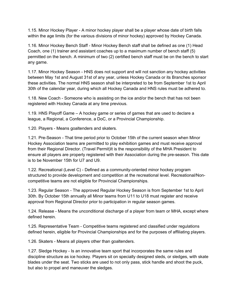1.15. Minor Hockey Player - A minor hockey player shall be a player whose date of birth falls within the age limits (for the various divisions of minor hockey) approved by Hockey Canada.

1.16. Minor Hockey Bench Staff - Minor Hockey Bench staff shall be defined as one (1) Head Coach, one (1) trainer and assistant coaches up to a maximum number of bench staff (5) permitted on the bench. A minimum of two (2) certified bench staff must be on the bench to start any game.

1.17. Minor Hockey Season - HNS does not support and will not sanction any hockey activities between May 1st and August 31st of any year, unless Hockey Canada or its Branches sponsor these activities. The normal HNS season shall be interpreted to be from September 1st to April 30th of the calendar year, during which all Hockey Canada and HNS rules must be adhered to.

1.18. New Coach - Someone who is assisting on the ice and/or the bench that has not been registered with Hockey Canada at any time previous.

1.19. HNS Playoff Game – A hockey game or series of games that are used to declare a league, a Regional, a Conference, a DoC, or a Provincial Championship.

1.20. Players - Means goaltenders and skaters.

1.21. Pre-Season - That time period prior to October 15th of the current season when Minor Hockey Association teams are permitted to play exhibition games and must receive approval from their Regional Director. (Travel Permit)It is the responsibility of the MHA President to ensure all players are properly registered with their Association during the pre-season. This date is to be November 15th for U7 and U9.

1.22. Recreational (Level C) - Defined as a community-oriented minor hockey program structured to provide development and competition at the recreational level. Recreational/Noncompetitive teams are not eligible for Provincial Championships.

1.23. Regular Season - The approved Regular Hockey Season is from September 1st to April 30th. By October 15th annually all Minor teams from U11 to U18 must register and receive approval from Regional Director prior to participation in regular season games.

1.24. Release - Means the unconditional discharge of a player from team or MHA, except where defined herein.

1.25. Representative Team - Competitive teams registered and classified under regulations defined herein, eligible for Provincial Championships and for the purposes of affiliating players.

1.26. Skaters - Means all players other than goaltenders.

1.27. Sledge Hockey - Is an innovative team sport that incorporates the same rules and discipline structure as ice hockey. Players sit on specially designed sleds, or sledges, with skate blades under the seat. Two sticks are used to not only pass, stick handle and shoot the puck, but also to propel and maneuver the sledges.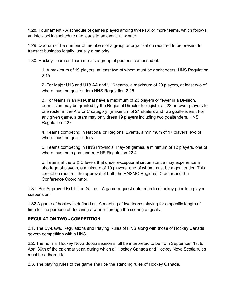1.28. Tournament - A schedule of games played among three (3) or more teams, which follows an inter-locking schedule and leads to an eventual winner.

1.29. Quorum - The number of members of a group or organization required to be present to transact business legally, usually a majority.

1.30. Hockey Team or Team means a group of persons comprised of:

1. A maximum of 19 players, at least two of whom must be goaltenders. HNS Regulation  $2:15$ 

2. For Major U18 and U18 AA and U16 teams, a maximum of 20 players, at least two of whom must be goaltenders HNS Regulation 2:15

3. For teams in an MHA that have a maximum of 23 players or fewer in a Division, permission may be granted by the Regional Director to register all 23 or fewer players to one roster in the A,B or C category, [maximum of 21 skaters and two goaltenders]. For any given game, a team may only dress 19 players including two goaltenders. HNS Regulation 2.27

4. Teams competing in National or Regional Events, a minimum of 17 players, two of whom must be goaltenders.

5. Teams competing in HNS Provincial Play-off games, a minimum of 12 players, one of whom must be a goaltender. HNS Regulation 22.4

6. Teams at the B & C levels that under exceptional circumstance may experience a shortage of players, a minimum of 10 players, one of whom must be a goaltender. This exception requires the approval of both the HNSMC Regional Director and the Conference Coordinator.

1.31. Pre-Approved Exhibition Game – A game request entered in to ehockey prior to a player suspension.

1.32 A game of hockey is defined as: A meeting of two teams playing for a specific length of time for the purpose of declaring a winner through the scoring of goals.

# **REGULATION TWO - COMPETITION**

2.1. The By-Laws, Regulations and Playing Rules of HNS along with those of Hockey Canada govern competition within HNS.

2.2. The normal Hockey Nova Scotia season shall be interpreted to be from September 1st to April 30th of the calendar year, during which all Hockey Canada and Hockey Nova Scotia rules must be adhered to.

2.3. The playing rules of the game shall be the standing rules of Hockey Canada.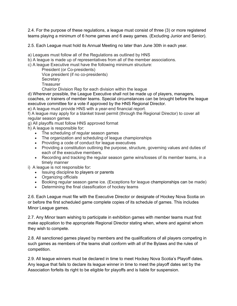2.4. For the purpose of these regulations, a league must consist of three (3) or more registered teams playing a minimum of 6 home games and 6 away games. (Excluding Junior and Senior).

2.5. Each League must hold its Annual Meeting no later than June 30th in each year.

a) Leagues must follow all of the Regulations as outlined by HNS

b) A league is made up of representatives from all of the member associations.

c) A league Executive must have the following minimum structure:

President (or Co-presidents) Vice president (if no co-presidents) **Secretary Treasurer** 

Chair/or Division Rep for each division within the league

d) Wherever possible, the League Executive shall not be made up of players, managers, coaches, or trainers of member teams. Special circumstances can be brought before the league executive committee for a vote if approved by the HNS Regional Director.

e) A league must provide HNS with a year-end financial report.

f) A league may apply for a blanket travel permit (through the Regional Director) to cover all regular season games

g) All playoffs must follow HNS approved format

h) A league is responsible for:

- The scheduling of regular season games
- The organization and scheduling of league championships
- Providing a code of conduct for league executives
- Providing a constitution outlining the purpose, structure, governing values and duties of each of the executive members.
- Recording and tracking the regular season game wins/losses of its member teams, in a timely manner

i) A league is not responsible for:

- Issuing discipline to players or parents
- Organizing officials
- Booking regular season game ice. (Exceptions for league championships can be made)
- Determining the final classification of hockey teams

2.6. Each League must file with the Executive Director or designate of Hockey Nova Scotia on or before the first scheduled game complete copies of its schedule of games. This includes Minor League games.

2.7. Any Minor team wishing to participate in exhibition games with member teams must first make application to the appropriate Regional Director stating when, where and against whom they wish to compete.

2.8. All sanctioned games played by members and the qualifications of all players competing in such games as members of the teams shall conform with all of the Bylaws and the rules of competition.

2.9. All league winners must be declared in time to meet Hockey Nova Scotia's Playoff dates. Any league that fails to declare its league winner in time to meet the playoff dates set by the Association forfeits its right to be eligible for playoffs and is liable for suspension.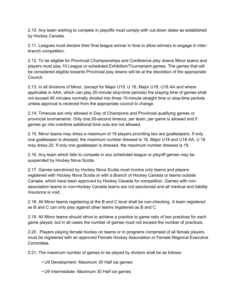2.10. Any team wishing to compete in playoffs must comply with cut-down dates as established by Hockey Canada.

2.11. Leagues must declare their final league winner in time to allow winners to engage in interbranch competition.

2.12. To be eligible for Provincial Championships and Conference play downs Minor teams and players must play 10 League or scheduled Exhibition/Tournament games. The games that will be considered eligible towards Provincial play downs will be at the discretion of the appropriate Council.

2.13. In all divisions of Minor, (except for Major U15, U 16, Major U18, U18 AA and where applicable in AAA, which can play 20-minute stop-time periods) the playing time of games shall not exceed 45 minutes normally divided into three,15-minute straight time or stop-time periods unless approval is received from the appropriate council to change.

2.14. Timeouts are only allowed in Day of Champions and Provincial qualifying games or provincial tournaments. Only one,30-second timeout, per team, per game is allowed and if games go into overtime additional time outs are not allowed.

2.15. Minor teams may dress a maximum of 19 players providing two are goalkeepers. If only one goalkeeper is dressed, the maximum number dressed is 18. Major U18 and U18 AA, U 16 may dress 20. If only one goalkeeper is dressed, the maximum number dressed is 19.

2.16. Any team which fails to compete in any scheduled league or playoff games may be suspended by Hockey Nova Scotia.

2.17. Games sanctioned by Hockey Nova Scotia must involve only teams and players registered with Hockey Nova Scotia or with a Branch of Hockey Canada or teams outside Canada, which have been approved by Hockey Canada for competition. Games with nonassociation teams or non-Hockey Canada teams are not sanctioned and all medical and liability insurance is void.

2.18. All Minor teams registering at the B and C level shall be non-checking. A team registered as B and C can only play against other teams registered as B and C.

2.19. All Minor teams should strive to achieve a practice to game ratio of two practices for each game played, but in all cases the number of games must not exceed the number of practices.

2.20 Players playing female hockey on teams or in programs comprised of all female players must be registered with an approved Female Hockey Association or Female Regional Executive **Committee.** 

2.21. The maximum number of games to be played by division shall be as follows:

- U9 Development -Maximum 30 Half ice games
- U9 Intermediate -Maximum 30 Half ice games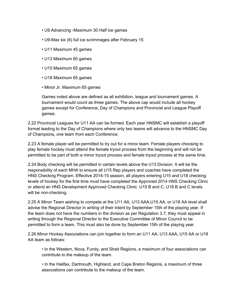- U9 Advancing -Maximum 30 Half ice games
- U9-Max six (6) full ice scrimmages after February 15
- U11 Maximum 45 games
- U13 Maximum 60 games
- U15 Maximum 65 games
- U18 Maximum 65 games
- Minor Jr. Maximum 65 games

Games noted above are defined as all exhibition, league and tournament games. A tournament would count as three games. The above cap would include all hockey games except for Conference, Day of Champions and Provincial and League Playoff games.

2.22 Provincial Leagues for U11 AA can be formed. Each year HNSMC will establish a playoff format leading to the Day of Champions where only two teams will advance to the HNSMC Day of Champions, one team from each Conference.

2.23 A female player will be permitted to try out for a minor team. Female players choosing to play female hockey must attend the female tryout process from the beginning and will not be permitted to be part of both a minor tryout process and female tryout process at the same time.

2.24 Body checking will be permitted in certain levels above the U13 Division. It will be the responsibility of each MHA to ensure all U15 Rep players and coaches have completed the HNS Checking Program. Effective 2014-15 season, all players entering U15 and U18 checking levels of hockey for the first time must have completed the Approved 2014 HNS Checking Clinic or attend an HNS Development Approved Checking Clinic. U15 B and C, U18 B and C levels will be non-checking.

2.25 A Minor Team wishing to compete at the U11 AA, U13 AAA,U15 AA, or U18 AA level shall advise the Regional Director in writing of their intent by September 15th of the playing year. If the team does not have the numbers in the division as per Regulation 3.7, they must appeal in writing through the Regional Director to the Executive Committee of Minor Council to be permitted to form a team. This must also be done by September 15th of the playing year.

2.26 Minor Hockey Associations can join together to form an U11 AA, U13 AAA, U15 AA or U18 AA team as follows:

• In the Western, Nova, Fundy, and Strait Regions, a maximum of four associations can contribute to the makeup of the team.

• In the Halifax, Dartmouth, Highland, and Cape Breton Regions, a maximum of three associations can contribute to the makeup of the team.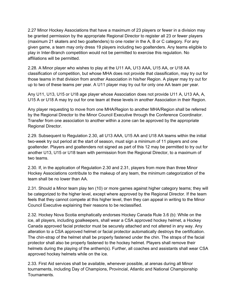2.27 Minor Hockey Associations that have a maximum of 23 players or fewer in a division may be granted permission by the appropriate Regional Director to register all 23 or fewer players (maximum 21 skaters and two goaltenders) to one roster in the A, B or C category. For any given game, a team may only dress 19 players including two goaltenders. Any teams eligible to play in Inter-Branch competition would not be permitted to exercise this regulation. No affiliations will be permitted.

2.28. A Minor player who wishes to play at the U11 AA, U13 AAA, U15 AA, or U18 AA classification of competition, but whose MHA does not provide that classification, may try out for those teams in that division from another Association in his/her Region. A player may try out for up to two of these teams per year. A U11 player may try out for only one AA team per year.

Any U11, U13, U15 or U18 age player whose Association does not provide U11 A, U13 AA, A, U15 A or U18 A may try out for one team at these levels in another Association in their Region.

Any player requesting to move from one MHA/Region to another MHA/Region shall be referred by the Regional Director to the Minor Council Executive through the Conference Coordinator. Transfer from one association to another within a zone can be approved by the appropriate Regional Director.

2.29. Subsequent to Regulation 2.30, all U13 AAA, U15 AA and U18 AA teams within the initial two-week try out period at the start of season, must sign a minimum of 11 players and one goaltender. Players and goaltenders not signed as part of this 12 may be permitted to try out for another U13, U15 or U18 team with permission from the Regional Director, to a maximum of two teams.

2.30. If, in the application of Regulation 2.30 and 2.31, players from more than three Minor Hockey Associations contribute to the makeup of any team, the minimum categorization of the team shall be no lower than AA.

2.31. Should a Minor team play ten (10) or more games against higher category teams; they will be categorized to the higher level, except where approved by the Regional Director. If the team feels that they cannot compete at this higher level, then they can appeal in writing to the Minor Council Executive explaining their reasons to be reclassified.

2.32. Hockey Nova Scotia emphatically endorses Hockey Canada Rule 3.6 (b): While on the ice, all players, including goalkeepers, shall wear a CSA approved hockey helmet, a Hockey Canada approved facial protector must be securely attached and not altered in any way. Any alteration to a CSA approved helmet or facial protector automatically destroys the certification. The chin-strap of the helmet shall be properly fastened under the chin. The straps of the facial protector shall also be properly fastened to the hockey helmet. Players shall remove their helmets during the playing of the anthem(s). Further, all coaches and assistants shall wear CSA approved hockey helmets while on the ice.

2.33. First Aid services shall be available, whenever possible, at arenas during all Minor tournaments, including Day of Champions, Provincial, Atlantic and National Championship Tournaments.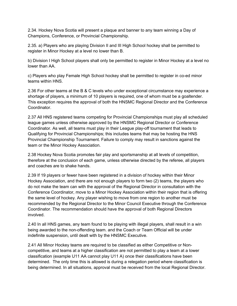2.34. Hockey Nova Scotia will present a plaque and banner to any team winning a Day of Champions, Conference, or Provincial Championship.

2.35. a) Players who are playing Division II and III High School hockey shall be permitted to register in Minor Hockey at a level no lower than B.

b) Division I High School players shall only be permitted to register in Minor Hockey at a level no lower than AA.

c) Players who play Female High School hockey shall be permitted to register in co-ed minor teams within HNS.

2.36 For other teams at the B & C levels who under exceptional circumstance may experience a shortage of players, a minimum of 10 players is required, one of whom must be a goaltender. This exception requires the approval of both the HNSMC Regional Director and the Conference Coordinator.

2.37 All HNS registered teams competing for Provincial Championships must play all scheduled league games unless otherwise approved by the HNSMC Regional Director or Conference Coordinator. As well, all teams must play in their League play-off tournament that leads to Qualifying for Provincial Championships; this includes teams that may be hosting the HNS Provincial Championship Tournament. Failure to comply may result in sanctions against the team or the Minor Hockey Association.

2.38 Hockey Nova Scotia promotes fair play and sportsmanship at all levels of competition, therefore at the conclusion of each game, unless otherwise directed by the referee, all players and coaches are to shake hands.

2.39 If 19 players or fewer have been registered in a division of hockey within their Minor Hockey Association, and there are not enough players to form two (2) teams, the players who do not make the team can with the approval of the Regional Director in consultation with the Conference Coordinator, move to a Minor Hockey Association within their region that is offering the same level of hockey. Any player wishing to move from one region to another must be recommended by the Regional Director to the Minor Council Executive through the Conference Coordinator. The recommendation should have the approval of both Regional Directors involved.

2.40 In all HNS games, any team found to be playing with illegal players, shall result in a win being awarded to the non-offending team. and the Coach or Team Official will be under indefinite suspension, until dealt with by the HNSMC Executive.

2.41 All Minor Hockey teams are required to be classified as either Competitive or Noncompetitive, and teams at a higher classification are not permitted to play a team at a lower classification (example U11 AA cannot play U11 A) once their classifications have been determined. The only time this is allowed is during a relegation period where classification is being determined. In all situations, approval must be received from the local Regional Director.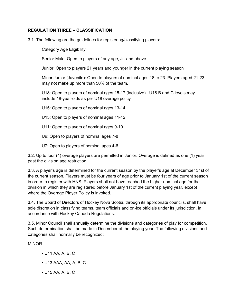#### **REGULATION THREE – CLASSIFICATION**

3.1. The following are the guidelines for registering/classifying players:

Category Age Eligibility

Senior Male: Open to players of any age, Jr. and above

Junior: Open to players 21 years and younger in the current playing season

Minor Junior (Juvenile): Open to players of nominal ages 18 to 23. Players aged 21-23 may not make up more than 50% of the team.

U18: Open to players of nominal ages 15-17 (inclusive). U18 B and C levels may include 18-year-olds as per U18 overage policy

U15: Open to players of nominal ages 13-14

- U13: Open to players of nominal ages 11-12
- U11: Open to players of nominal ages 9-10
- U9: Open to players of nominal ages 7-8
- U7: Open to players of nominal ages 4-6

3.2. Up to four (4) overage players are permitted in Junior. Overage is defined as one (1) year past the division age restriction.

3.3. A player's age is determined for the current season by the player's age at December 31st of the current season. Players must be four years of age prior to January 1st of the current season in order to register with HNS. Players shall not have reached the higher nominal age for the division in which they are registered before January 1st of the current playing year, except where the Overage Player Policy is invoked.

3.4. The Board of Directors of Hockey Nova Scotia, through its appropriate councils, shall have sole discretion in classifying teams, team officials and on-ice officials under its jurisdiction, in accordance with Hockey Canada Regulations.

3.5. Minor Council shall annually determine the divisions and categories of play for competition. Such determination shall be made in December of the playing year. The following divisions and categories shall normally be recognized:

MINOR

- U11 AA, A, B, C
- U13 AAA, AA, A, B, C
- U15 AA, A, B, C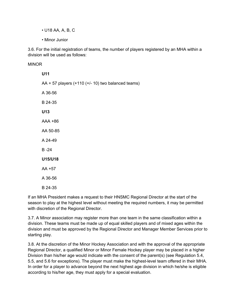- U18 AA, A, B, C
- Minor Junior

3.6. For the initial registration of teams, the number of players registered by an MHA within a division will be used as follows:

**MINOR** 

| U11                                                  |
|------------------------------------------------------|
| $AA + 57$ players (+110 (+/- 10) two balanced teams) |
| A 36-56                                              |
| B 24-35                                              |
| U13                                                  |
| AAA +86                                              |
| AA 50-85                                             |
| A 24-49                                              |
| $B - 24$                                             |
| U15/U18                                              |
| AA +57                                               |
| A 36-56                                              |

B 24-35

If an MHA President makes a request to their HNSMC Regional Director at the start of the season to play at the highest level without meeting the required numbers, it may be permitted with discretion of the Regional Director.

3.7. A Minor association may register more than one team in the same classification within a division. These teams must be made up of equal skilled players and of mixed ages within the division and must be approved by the Regional Director and Manager Member Services prior to starting play.

3.8. At the discretion of the Minor Hockey Association and with the approval of the appropriate Regional Director, a qualified Minor or Minor Female Hockey player may be placed in a higher Division than his/her age would indicate with the consent of the parent(s) (see Regulation 5.4, 5.5, and 5.6 for exceptions). The player must make the highest-level team offered in their MHA. In order for a player to advance beyond the next highest age division in which he/she is eligible according to his/her age, they must apply for a special evaluation.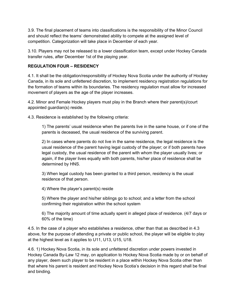3.9. The final placement of teams into classifications is the responsibility of the Minor Council and should reflect the teams' demonstrated ability to compete at the assigned level of competition. Categorization will take place in December of each year.

3.10. Players may not be released to a lower classification team, except under Hockey Canada transfer rules, after December 1st of the playing year.

### **REGULATION FOUR – RESIDENCY**

4.1. It shall be the obligation/responsibility of Hockey Nova Scotia under the authority of Hockey Canada, in its sole and unfettered discretion, to implement residency registration regulations for the formation of teams within its boundaries. The residency regulation must allow for increased movement of players as the age of the player increases.

4.2. Minor and Female Hockey players must play in the Branch where their parent(s)/court appointed guardian(s) reside.

4.3. Residence is established by the following criteria:

1) The parents' usual residence when the parents live in the same house, or if one of the parents is deceased, the usual residence of the surviving parent.

2) In cases where parents do not live in the same residence, the legal residence is the usual residence of the parent having legal custody of the player; or if both parents have legal custody, the usual residence of the parent with whom the player usually lives; or again, if the player lives equally with both parents, his/her place of residence shall be determined by HNS.

3) When legal custody has been granted to a third person, residency is the usual residence of that person.

4) Where the player's parent(s) reside

5) Where the player and his/her siblings go to school; and a letter from the school confirming their registration within the school system

6) The majority amount of time actually spent in alleged place of residence. (4/7 days or 60% of the time)

4.5. In the case of a player who establishes a residence, other than that as described in 4.3 above, for the purpose of attending a private or public school, the player will be eligible to play at the highest level as it applies to U11, U13, U15, U18.

4.6. 1) Hockey Nova Scotia, in its sole and unfettered discretion under powers invested in Hockey Canada By-Law 12 may, on application to Hockey Nova Scotia made by or on behalf of any player, deem such player to be resident in a place within Hockey Nova Scotia other than that where his parent is resident and Hockey Nova Scotia's decision in this regard shall be final and binding.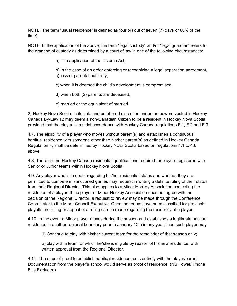NOTE: The term "usual residence" is defined as four (4) out of seven (7) days or 60% of the time).

NOTE: In the application of the above, the term "legal custody" and/or "legal guardian" refers to the granting of custody as determined by a court of law in one of the following circumstances:

a) The application of the Divorce Act,

b) in the case of an order enforcing or recognizing a legal separation agreement, c) loss of parental authority,

c) when it is deemed the child's development is compromised,

d) when both (2) parents are deceased,

e) married or the equivalent of married.

2) Hockey Nova Scotia, in its sole and unfettered discretion under the powers vested in Hockey Canada By-Law 12 may deem a non-Canadian Citizen to be a resident in Hockey Nova Scotia provided that the player is in strict accordance with Hockey Canada regulations F.1, F.2 and F.3

4.7. The eligibility of a player who moves without parent(s) and establishes a continuous habitual residence with someone other than his/her parent(s) as defined in Hockey Canada Regulation F, shall be determined by Hockey Nova Scotia based on regulations 4.1 to 4.6 above.

4.8. There are no Hockey Canada residential qualifications required for players registered with Senior or Junior teams within Hockey Nova Scotia.

4.9. Any player who is in doubt regarding his/her residential status and whether they are permitted to compete in sanctioned games may request in writing a definite ruling of their status from their Regional Director. This also applies to a Minor Hockey Association contesting the residence of a player. If the player or Minor Hockey Association does not agree with the decision of the Regional Director, a request to review may be made through the Conference Coordinator to the Minor Council Executive. Once the teams have been classified for provincial playoffs, no ruling or appeal of a ruling can be made regarding the residency of a player.

4.10. In the event a Minor player moves during the season and establishes a legitimate habitual residence in another regional boundary prior to January 10th in any year, then such player may:

1) Continue to play with his/her current team for the remainder of that season only;

2) play with a team for which he/she is eligible by reason of his new residence, with written approval from the Regional Director.

4.11. The onus of proof to establish habitual residence rests entirely with the player/parent. Documentation from the player's school would serve as proof of residence. (NS Power/ Phone Bills Excluded)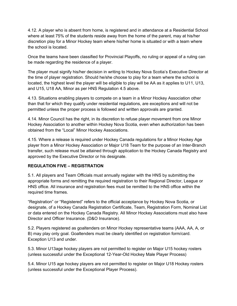4.12. A player who is absent from home, is registered and in attendance at a Residential School where at least 75% of the students reside away from the home of the parent, may at his/her discretion play for a Minor Hockey team where his/her home is situated or with a team where the school is located.

Once the teams have been classified for Provincial Playoffs, no ruling or appeal of a ruling can be made regarding the residence of a player.

The player must signify his/her decision in writing to Hockey Nova Scotia's Executive Director at the time of player registration. Should he/she choose to play for a team where the school is located, the highest level the player will be eligible to play will be AA as it applies to U11, U13, and U15, U18 AA, Minor as per HNS Regulation 4.5 above.

4.13. Situations enabling players to compete on a team in a Minor Hockey Association other than that for which they qualify under residential regulations, are exceptions and will not be permitted unless the proper process is followed and written approvals are granted.

4.14. Minor Council has the right, in its discretion to refuse player movement from one Minor Hockey Association to another within Hockey Nova Scotia, even when authorization has been obtained from the "Local" Minor Hockey Associations.

4.15. Where a release is required under Hockey Canada regulations for a Minor Hockey Age player from a Minor Hockey Association or Major U18 Team for the purpose of an Inter-Branch transfer, such release must be attained through application to the Hockey Canada Registry and approved by the Executive Director or his designate.

### **REGULATION FIVE – REGISTRATION**

5.1. All players and Team Officials must annually register with the HNS by submitting the appropriate forms and remitting the required registration to their Regional Director, League or HNS office. All insurance and registration fees must be remitted to the HNS office within the required time frames.

"Registration" or "Registered" refers to the official acceptance by Hockey Nova Scotia, or designate, of a Hockey Canada Registration Certificate, Team, Registration Form, Nominal List or data entered on the Hockey Canada Registry. All Minor Hockey Associations must also have Director and Officer Insurance. (D&O Insurance).

5.2. Players registered as goaltenders on Minor Hockey representative teams (AAA, AA, A, or B) may play only goal. Goaltenders must be clearly identified on registration form/card. Exception U13 and under.

5.3. Minor U13age hockey players are not permitted to register on Major U15 hockey rosters (unless successful under the Exceptional 12-Year-Old Hockey Male Player Process)

5.4. Minor U15 age hockey players are not permitted to register on Major U18 Hockey rosters (unless successful under the Exceptional Player Process).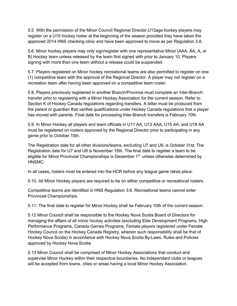5.5. With the permission of the Minor Council Regional Director,U13age hockey players may register on a U15 hockey roster at the beginning of the season provided they have taken the approved 2014 HNS checking clinic and have been approved to move as per Regulation 3.8.

5.6. Minor hockey players may only sign/register with one representative Minor (AAA, AA, A, or B) Hockey team unless released by the team first signed with prior to January 10. Players signing with more than one team without a release could be suspended.

5.7. Players registered on Minor hockey recreational teams are also permitted to register on one (1) competitive team with the approval of the Regional Director. A player may not register on a recreation team after having been approved on a competitive team roster.

5.8. Players previously registered in another Branch/Province must complete an Inter-Branch transfer prior to registering with a Minor Hockey Association for the current season. Refer to Section K of Hockey Canada regulations regarding transfers. A letter must be produced from the parent or guardian that verifies qualifications under Hockey Canada regulations that a player has moved with parents. Final date for processing Inter-Branch transfers is February 10th.

5.9. In Minor Hockey all players and team officials in U11 AA, U13 AAA, U15 AA, and U18 AA must be registered on rosters approved by the Regional Director prior to participating in any game prior to October 15th.

The Registration date for all other divisions/teams, excluding U7 and U9, is October 31st. The Registration date for U7 and U9 is November 15th. The final date to register a team to be eligible for Minor Provincial Championships is December  $1<sup>st</sup>$ , unless otherwise determined by HNSMC.

In all cases, rosters must be entered into the HCR before any league game takes place.

5.10. All Minor Hockey players are required to be on either competitive or recreational rosters.

Competitive teams are identified in HNS Regulation 3.6. Recreational teams cannot enter Provincial Championships.

5.11. The final date to register for Minor Hockey shall be February 10th of the current season.

5.12 Minor Council shall be responsible to the Hockey Nova Scotia Board of Directors for managing the affairs of all minor hockey activities (excluding Elite Development Programs, High Performance Programs, Canada Games Programs, Female players registered under Female Hockey Council on the Hockey Canada Registry, wherein such responsibility shall be that of Hockey Nova Scotia) in accordance with Hockey Nova Scotia By-Laws, Rules and Policies approved by Hockey Nova Scotia

5.13 Minor Council shall be comprised of Minor Hockey Associations that conduct and supervise Minor Hockey within their respective boundaries. No independent clubs or leagues will be accepted from towns, cities or areas having a local Minor Hockey Association.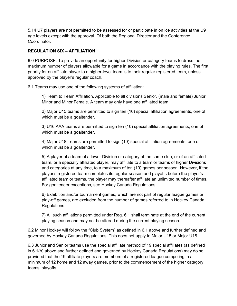5.14 U7 players are not permitted to be assessed for or participate in on ice activities at the U9 age levels except with the approval. Of both the Regional Director and the Conference **Coordinator** 

### **REGULATION SIX – AFFILIATION**

6.0 PURPOSE: To provide an opportunity for higher Division or category teams to dress the maximum number of players allowable for a game in accordance with the playing rules. The first priority for an affiliate player to a higher-level team is to their regular registered team, unless approved by the player's regular coach.

6.1 Teams may use one of the following systems of affiliation:

1) Team to Team Affiliation. Applicable to all divisions Senior, (male and female) Junior, Minor and Minor Female. A team may only have one affiliated team.

2) Major U15 teams are permitted to sign ten (10) special affiliation agreements, one of which must be a goaltender.

3) U16 AAA teams are permitted to sign ten (10) special affiliation agreements, one of which must be a goaltender.

4) Major U18 Teams are permitted to sign (10) special affiliation agreements, one of which must be a goaltender.

5) A player of a team of a lower Division or category of the same club, or of an affiliated team, or a specially affiliated player, may affiliate to a team or teams of higher Divisions and categories at any time, to a maximum of ten (10) games per season. However, if the player's registered team completes its regular season and playoffs before the player's affiliated team or teams, the player may thereafter affiliate an unlimited number of times. For goaltender exceptions, see Hockey Canada Regulations.

6) Exhibition and/or tournament games, which are not part of regular league games or play-off games, are excluded from the number of games referred to in Hockey Canada Regulations.

7) All such affiliations permitted under Reg. 6.1 shall terminate at the end of the current playing season and may not be altered during the current playing season.

6.2 Minor Hockey will follow the "Club System" as defined in 6.1 above and further defined and governed by Hockey Canada Regulations. This does not apply to Major U15 or Major U18.

6.3 Junior and Senior teams use the special affiliate method of 19 special affiliates (as defined in 6.1(b) above and further defined and governed by Hockey Canada Regulations) may do so provided that the 19 affiliate players are members of a registered league competing in a minimum of 12 home and 12 away games, prior to the commencement of the higher category teams' playoffs.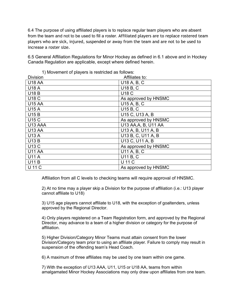6.4 The purpose of using affiliated players is to replace regular team players who are absent from the team and not to be used to fill a roster. Affiliated players are to replace rostered team players who are sick, injured, suspended or away from the team and are not to be used to increase a roster size.

6.5 General Affiliation Regulations for Minor Hockey as defined in 6.1 above and in Hockey Canada Regulation are applicable, except where defined herein.

| $1, 1, 1, 0, 1, 0, 1, 0, 1, 0, 1, 0, 1, 0, 1, 0, 1, 0, 1, 0, 1, 0, 1, 0, 1, 0, 1, 0, 1, 0, 1, 0, 1, 0, 1, 0, 1, 0, 1, 0, 1, 0, 1, 0, 1, 0, 1, 0, 1, 0, 1, 0, 1, 0, 1, 0, 1, 0, 1, 0, 1, 0, 1, 0, 1, 0, 1, 0, 1, 0, 1, 0, 1, 0$<br><b>Division</b> | Affiliates to:       |
|---------------------------------------------------------------------------------------------------------------------------------------------------------------------------------------------------------------------------------------------------|----------------------|
| <b>U18 AA</b>                                                                                                                                                                                                                                     | U18 A, B, C          |
| <b>U18 A</b>                                                                                                                                                                                                                                      | U18 B, C             |
| <b>U18 B</b>                                                                                                                                                                                                                                      | <b>U18 C</b>         |
| <b>U18 C</b>                                                                                                                                                                                                                                      | As approved by HNSMC |
| <b>U15 AA</b>                                                                                                                                                                                                                                     | U15 A, B, C          |
| <b>U15 A</b>                                                                                                                                                                                                                                      | U15 B, C             |
| <b>U15 B</b>                                                                                                                                                                                                                                      | U15 C, U13 A, B      |
| <b>U15 C</b>                                                                                                                                                                                                                                      | As approved by HNSMC |
| U13 AAA                                                                                                                                                                                                                                           | U13 AA, A, B, U11 AA |
| <b>U13 AA</b>                                                                                                                                                                                                                                     | U13 A, B, U11 A, B   |
| <b>U13 A</b>                                                                                                                                                                                                                                      | U13 B, C, U11 A, B   |
| <b>U13 B</b>                                                                                                                                                                                                                                      | U13 C, U11 A, B      |
| <b>U13 C</b>                                                                                                                                                                                                                                      | As approved by HNSMC |
| <b>U11 AA</b>                                                                                                                                                                                                                                     | U11 A, B, C          |
| <b>U11 A</b>                                                                                                                                                                                                                                      | U11 B, C             |
| <b>U11 B</b>                                                                                                                                                                                                                                      | <b>U11C</b>          |
| <b>U11C</b>                                                                                                                                                                                                                                       | As approved by HNSMC |

1) Movement of players is restricted as follows:

Affiliation from all C levels to checking teams will require approval of HNSMC.

2) At no time may a player skip a Division for the purpose of affiliation (i.e.: U13 player cannot affiliate to U18)

3) U15 age players cannot affiliate to U18, with the exception of goaltenders, unless approved by the Regional Director.

4) Only players registered on a Team Registration form, and approved by the Regional Director, may advance to a team of a higher division or category for the purpose of affiliation.

5) Higher Division/Category Minor Teams must attain consent from the lower Division/Category team prior to using an affiliate player. Failure to comply may result in suspension of the offending team's Head Coach.

6) A maximum of three affiliates may be used by one team within one game.

7) With the exception of U13 AAA, U11, U15 or U18 AA, teams from within amalgamated Minor Hockey Associations may only draw upon affiliates from one team.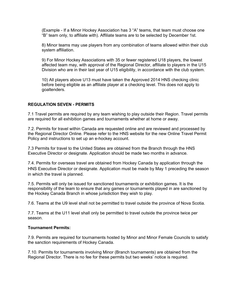(Example - If a Minor Hockey Association has 3 "A" teams, that team must choose one "B" team only, to affiliate with). Affiliate teams are to be selected by December 1st.

8) Minor teams may use players from any combination of teams allowed within their club system affiliation.

9) For Minor Hockey Associations with 35 or fewer registered U18 players, the lowest affected team may, with approval of the Regional Director, affiliate to players in the U15 Division who are in their last year of U15 eligibility, in accordance with the club system.

10) All players above U13 must have taken the Approved 2014 HNS checking clinic before being eligible as an affiliate player at a checking level. This does not apply to goaltenders.

#### **REGULATION SEVEN - PERMITS**

7.1 Travel permits are required by any team wishing to play outside their Region. Travel permits are required for all exhibition games and tournaments whether at home or away.

7.2. Permits for travel within Canada are requested online and are reviewed and processed by the Regional Director Online. Please refer to the HNS website for the new Online Travel Permit Policy and instructions to set up an e-hockey account.

7.3 Permits for travel to the United States are obtained from the Branch through the HNS Executive Director or designate. Application should be made two months in advance.

7.4. Permits for overseas travel are obtained from Hockey Canada by application through the HNS Executive Director or designate. Application must be made by May 1 preceding the season in which the travel is planned.

7.5. Permits will only be issued for sanctioned tournaments or exhibition games. It is the responsibility of the team to ensure that any games or tournaments played in are sanctioned by the Hockey Canada Branch in whose jurisdiction they wish to play.

7.6. Teams at the U9 level shall not be permitted to travel outside the province of Nova Scotia.

7.7. Teams at the U11 level shall only be permitted to travel outside the province twice per season.

#### **Tournament Permits:**

7.9. Permits are required for tournaments hosted by Minor and Minor Female Councils to satisfy the sanction requirements of Hockey Canada.

7.10. Permits for tournaments involving Minor (Branch tournaments) are obtained from the Regional Director. There is no fee for these permits but two weeks' notice is required.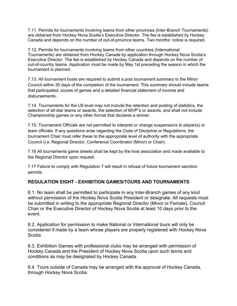7.11. Permits for tournaments involving teams from other provinces (Inter-Branch Tournaments) are obtained from Hockey Nova Scotia's Executive Director. The fee is established by Hockey Canada and depends on the number of out-of-province teams. Two months' notice is required.

7.12. Permits for tournaments involving teams from other countries (International Tournaments) are obtained from Hockey Canada by application through Hockey Nova Scotia's Executive Director. The fee is established by Hockey Canada and depends on the number of out-of-country teams. Application must be made by May 1st preceding the season in which the tournament is planned.

7.13. All tournament hosts are required to submit a post tournament summary to the Minor Council within 30 days of the completion of the tournament. This summary should include teams that participated, scores of games and a detailed financial statement of income and disbursements..

7.14. Tournaments for the U9 level may not include the retention and posting of statistics, the selection of all-star teams or awards, the selection of MVP"s or awards, and shall not include Championship games or any other format that declares a winner.

7.15. Tournament Officials are not permitted to interpret or change suspensions to player(s) or team officials. If any questions arise regarding the Code of Discipline or Regulations, the tournament Chair must refer these to the appropriate level of authority with the appropriate Council (i.e. Regional Director, Conference Coordinator (Minor) or Chair).

7.16 All tournaments game sheets shall be kept by the host association and made available to the Regional Director upon request.

7.17 Failure to comply with Regulation 7 will result in refusal of future tournament sanction permits.

# **REGULATION EIGHT - EXHIBITION GAMES/TOURS AND TOURNAMENTS**

8.1. No team shall be permitted to participate in any Inter-Branch games of any kind without permission of the Hockey Nova Scotia President or designate. All requests must be submitted in writing to the appropriate Regional Director (Minor or Female), Council Chair or the Executive Director of Hockey Nova Scotia at least 10 days prior to the event.

8.2. Application for permission to make National or International tours will only be considered if made by a team whose players are properly registered with Hockey Nova Scotia.

8.3. Exhibition Games with professional clubs may be arranged with permission of Hockey Canada and the President of Hockey Nova Scotia upon such terms and conditions as may be designated by Hockey Canada.

8.4. Tours outside of Canada may be arranged with the approval of Hockey Canada, through Hockey Nova Scotia.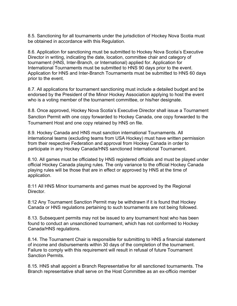8.5. Sanctioning for all tournaments under the jurisdiction of Hockey Nova Scotia must be obtained in accordance with this Regulation.

8.6. Application for sanctioning must be submitted to Hockey Nova Scotia's Executive Director in writing, indicating the date, location, committee chair and category of tournament (HNS, Inter-Branch, or International) applied for. Application for International Tournaments must be submitted to HNS 90 days prior to the event. Application for HNS and Inter-Branch Tournaments must be submitted to HNS 60 days prior to the event.

8.7. All applications for tournament sanctioning must include a detailed budget and be endorsed by the President of the Minor Hockey Association applying to host the event who is a voting member of the tournament committee, or his/her designate.

8.8. Once approved, Hockey Nova Scotia's Executive Director shall issue a Tournament Sanction Permit with one copy forwarded to Hockey Canada, one copy forwarded to the Tournament Host and one copy retained by HNS on file.

8.9. Hockey Canada and HNS must sanction international Tournaments. All international teams (excluding teams from USA Hockey) must have written permission from their respective Federation and approval from Hockey Canada in order to participate in any Hockey Canada/HNS sanctioned International Tournament.

8.10. All games must be officiated by HNS registered officials and must be played under official Hockey Canada playing rules. The only variance to the official Hockey Canada playing rules will be those that are in effect or approved by HNS at the time of application.

8:11 All HNS Minor tournaments and games must be approved by the Regional Director.

8:12 Any Tournament Sanction Permit may be withdrawn if it is found that Hockey Canada or HNS regulations pertaining to such tournaments are not being followed.

8.13. Subsequent permits may not be issued to any tournament host who has been found to conduct an unsanctioned tournament, which has not conformed to Hockey Canada/HNS regulations.

8.14. The Tournament Chair is responsible for submitting to HNS a financial statement of income and disbursements within 30 days of the completion of the tournament. Failure to comply with this requirement will result in refusal of future Tournament Sanction Permits.

8.15. HNS shall appoint a Branch Representative for all sanctioned tournaments. The Branch representative shall serve on the Host Committee as an ex-officio member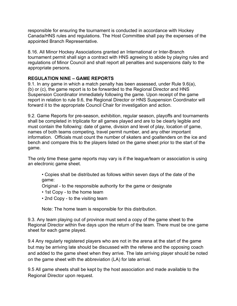responsible for ensuring the tournament is conducted in accordance with Hockey Canada/HNS rules and regulations. The Host Committee shall pay the expenses of the appointed Branch Representative.

8.16. All Minor Hockey Associations granted an International or Inter-Branch tournament permit shall sign a contract with HNS agreeing to abide by playing rules and regulations of Minor Council and shall report all penalties and suspensions daily to the appropriate persons.

# **REGULATION NINE – GAME REPORTS**

9.1. In any game in which a match penalty has been assessed, under Rule 9.6(a), (b) or (c), the game report is to be forwarded to the Regional Director and HNS Suspension Coordinator immediately following the game. Upon receipt of the game report in relation to rule 9.6, the Regional Director or HNS Suspension Coordinator will forward it to the appropriate Council Chair for investigation and action.

9.2. Game Reports for pre-season, exhibition, regular season, playoffs and tournaments shall be completed in triplicate for all games played and are to be clearly legible and must contain the following: date of game, division and level of play, location of game, names of both teams competing, travel permit number, and any other important information. Officials must count the number of skaters and goaltenders on the ice and bench and compare this to the players listed on the game sheet prior to the start of the game.

The only time these game reports may vary is if the league/team or association is using an electronic game sheet.

- Copies shall be distributed as follows within seven days of the date of the game:
- Original to the responsible authority for the game or designate
- 1st Copy to the home team
- 2nd Copy to the visiting team

Note: The home team is responsible for this distribution.

9.3. Any team playing out of province must send a copy of the game sheet to the Regional Director within five days upon the return of the team. There must be one game sheet for each game played.

9.4 Any regularly registered players who are not in the arena at the start of the game but may be arriving late should be discussed with the referee and the opposing coach and added to the game sheet when they arrive. The late arriving player should be noted on the game sheet with the abbreviation (LA) for late arrival.

9.5 All game sheets shall be kept by the host association and made available to the Regional Director upon request.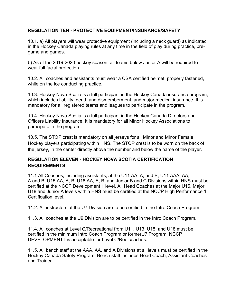# **REGULATION TEN - PROTECTIVE EQUIPMENT/INSURANCE/SAFETY**

10.1. a) All players will wear protective equipment (including a neck guard) as indicated in the Hockey Canada playing rules at any time in the field of play during practice, pregame and games.

b) As of the 2019-2020 hockey season, all teams below Junior A will be required to wear full facial protection.

10.2. All coaches and assistants must wear a CSA certified helmet, properly fastened, while on the ice conducting practice.

10.3. Hockey Nova Scotia is a full participant in the Hockey Canada insurance program, which includes liability, death and dismemberment, and major medical insurance. It is mandatory for all registered teams and leagues to participate in the program.

10.4. Hockey Nova Scotia is a full participant in the Hockey Canada Directors and Officers Liability Insurance. It is mandatory for all Minor Hockey Associations to participate in the program.

10.5. The STOP crest is mandatory on all jerseys for all Minor and Minor Female Hockey players participating within HNS. The STOP crest is to be worn on the back of the jersey, in the center directly above the number and below the name of the player.

# **REGULATION ELEVEN - HOCKEY NOVA SCOTIA CERTIFICATION REQUIREMENTS**

11.1 All Coaches, including assistants, at the U11 AA, A, and B, U11 AAA, AA, A and B, U15 AA, A, B, U18 AA, A, B, and Junior B and C Divisions within HNS must be certified at the NCCP Development 1 level. All Head Coaches at the Major U15, Major U18 and Junior A levels within HNS must be certified at the NCCP High Performance 1 Certification level.

11.2. All instructors at the U7 Division are to be certified in the Intro Coach Program.

11.3. All coaches at the U9 Division are to be certified in the Intro Coach Program.

11.4. All coaches at Level C/Recreational from U11, U13, U15, and U18 must be certified in the minimum Intro Coach Program or formerU7 Program. NCCP DEVELOPMENT I is acceptable for Level C/Rec coaches.

11.5. All bench staff at the AAA, AA, and A Divisions at all levels must be certified in the Hockey Canada Safety Program. Bench staff includes Head Coach, Assistant Coaches and Trainer.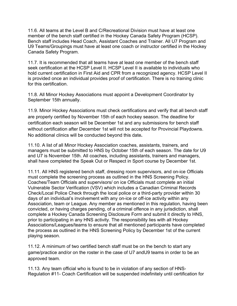11.6. All teams at the Level B and C/Recreational Division must have at least one member of the bench staff certified in the Hockey Canada Safety Program (HCSP). Bench staff includes Head Coach, Assistant Coaches and Trainer. All U7 Program and U9 Teams/Groupings must have at least one coach or instructor certified in the Hockey Canada Safety Program.

11.7. It is recommended that all teams have at least one member of the bench staff seek certification at the HCSP Level II. HCSP Level II is available to individuals who hold current certification in First Aid and CPR from a recognized agency. HCSP Level II is provided once an individual provides proof of certification. There is no training clinic for this certification.

11.8. All Minor Hockey Associations must appoint a Development Coordinator by September 15th annually.

11.9. Minor Hockey Associations must check certifications and verify that all bench staff are properly certified by November 15th of each hockey season. The deadline for certification each season will be December 1st and any submissions for bench staff without certification after December 1st will not be accepted for Provincial Playdowns. No additional clinics will be conducted beyond this date**.**

11.10. A list of all Minor Hockey Association coaches, assistants, trainers, and managers must be submitted to HNS by October 15th of each season. The date for U9 and U7 is November 15th. All coaches, including assistants, trainers and managers, shall have completed the Speak Out or Respect in Sport course by December 1st.

11.11. All HNS registered bench staff, dressing room supervisors, and on-ice Officials must complete the screening process as outlined in the HNS Screening Policy. Coaches/Team Officials and supervisors/ on ice Officials must complete an initial Vulnerable Sector Verification (VSV) which includes a Canadian Criminal Records Check/Local Police Check through the local police or a third-party provider within 30 days of an individual's involvement with any on-ice or off-ice activity within any Association, team or League. Any member as mentioned in this regulation, having been convicted, or having charges pending, of a criminal offence in any jurisdiction, shall complete a Hockey Canada Screening Disclosure Form and submit it directly to HNS, prior to participating in any HNS activity. The responsibility lies with all Hockey Associations/Leagues/teams to ensure that all mentioned participants have completed the process as outlined in the HNS Screening Policy by December 1st of the current playing season.

11.12. A minimum of two certified bench staff must be on the bench to start any game/practice and/or on the roster in the case of U7 andU9 teams in order to be an approved team.

11.13. Any team official who is found to be in violation of any section of HNS-Regulation #11- Coach Certification will be suspended indefinitely until certification for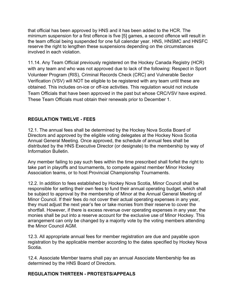that official has been approved by HNS and it has been added to the HCR. The minimum suspension for a first offence is five [5] games, a second offence will result in the team official being suspended for one full calendar year. HNS, HNSMC and HNSFC reserve the right to lengthen these suspensions depending on the circumstances involved in each violation.

11.14. Any Team Official previously registered on the Hockey Canada Registry (HCR) with any team and who was not approved due to lack of the following: Respect in Sport Volunteer Program (RIS), Criminal Records Check (CRC) and Vulnerable Sector Verification (VSV) will NOT be eligible to be registered with any team until these are obtained. This includes on-ice or off-ice activities. This regulation would not include Team Officials that have been approved in the past but whose CRC/VSV have expired. These Team Officials must obtain their renewals prior to December 1.

# **REGULATION TWELVE - FEES**

12.1. The annual fees shall be determined by the Hockey Nova Scotia Board of Directors and approved by the eligible voting delegates at the Hockey Nova Scotia Annual General Meeting. Once approved, the schedule of annual fees shall be distributed by the HNS Executive Director (or designate) to the membership by way of Information Bulletin.

Any member failing to pay such fees within the time prescribed shall forfeit the right to take part in playoffs and tournaments, to compete against member Minor Hockey Association teams, or to host Provincial Championship Tournaments.

12.2. In addition to fees established by Hockey Nova Scotia, Minor Council shall be responsible for setting their own fees to fund their annual operating budget, which shall be subject to approval by the membership of Minor at the Annual General Meeting of Minor Council. If their fees do not cover their actual operating expenses in any year, they must adjust the next year's fee or take monies from their reserve to cover the shortfall. However, if there is excess revenue over operating expenses in any year, the monies shall be put into a reserve account for the exclusive use of Minor Hockey. This arrangement can only be changed by a majority vote by the voting members attending the Minor Council AGM.

12.3. All appropriate annual fees for member registration are due and payable upon registration by the applicable member according to the dates specified by Hockey Nova Scotia.

12.4. Associate Member teams shall pay an annual Associate Membership fee as determined by the HNS Board of Directors.

### **REGULATION THIRTEEN - PROTESTS/APPEALS**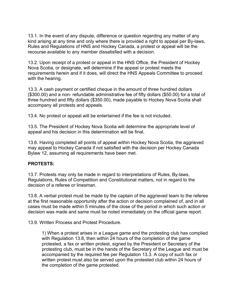13.1. In the event of any dispute, difference or question regarding any matter of any kind arising at any time and only where there is provided a right to appeal per By-laws, Rules and Regulations of HNS and Hockey Canada, a protest or appeal will be the recourse available to any member dissatisfied with a decision.

13.2. Upon receipt of a protest or appeal in the HNS Office, the President of Hockey Nova Scotia, or designate, will determine if the appeal or protest meets the requirements herein and if it does, will direct the HNS Appeals Committee to proceed with the hearing.

13.3. A cash payment or certified cheque in the amount of three hundred dollars (\$300.00) and a non- refundable administrative fee of fifty dollars (\$50.00) for a total of three hundred and fifty dollars (\$350.00), made payable to Hockey Nova Scotia shall accompany all protests and appeals.

13.4. No protest or appeal will be entertained if the fee is not included.

13.5. The President of Hockey Nova Scotia will determine the appropriate level of appeal and his decision in this determination will be final.

13.6. Having completed all points of appeal within Hockey Nova Scotia, the aggrieved may appeal to Hockey Canada if not satisfied with the decision per Hockey Canada Bylaw 12, assuming all requirements have been met.

# **PROTESTS:**

13.7. Protests may only be made in regard to interpretations of Rules, By-laws, Regulations, Rules of Competition and Constitutional matters, not in regard to the decision of a referee or linesman.

13.8. A verbal protest must be made by the captain of the aggrieved team to the referee at the first reasonable opportunity after the action or decision complained of, and in all cases must be made within 5 minutes of the close of the period in which such action or decision was made and same must be noted immediately on the official game report.

13.9. Written Process and Protest Procedure.

1) When a protest arises in a League game and the protesting club has complied with Regulation 13.8, then within 24 hours of the completion of the game protested, a fax or written protest, signed by the President or Secretary of the protesting club, must be in the hands of the Secretary of the League and must be accompanied by the required fee per Regulation 13.3. A copy of such fax or written protest must also be served upon the protested club within 24 hours of the completion of the game protested.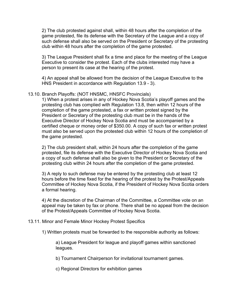2) The club protested against shall, within 48 hours after the completion of the game protested, file its defense with the Secretary of the League and a copy of such defense shall also be served on the President or Secretary of the protesting club within 48 hours after the completion of the game protested.

3) The League President shall fix a time and place for the meeting of the League Executive to consider the protest. Each of the clubs interested may have a person to present its case at the hearing of the protest.

4) An appeal shall be allowed from the decision of the League Executive to the HNS President in accordance with Regulation 13.9 - 3).

#### 13.10. Branch Playoffs: (NOT HNSMC, HNSFC Provincials)

1) When a protest arises in any of Hockey Nova Scotia's playoff games and the protesting club has complied with Regulation 13.8, then within 12 hours of the completion of the game protested, a fax or written protest signed by the President or Secretary of the protesting club must be in the hands of the Executive Director of Hockey Nova Scotia and must be accompanied by a certified cheque or money order of \$350.00. A copy of such fax or written protest must also be served upon the protested club within 12 hours of the completion of the game protested.

2) The club president shall, within 24 hours after the completion of the game protested, file its defense with the Executive Director of Hockey Nova Scotia and a copy of such defense shall also be given to the President or Secretary of the protesting club within 24 hours after the completion of the game protested.

3) A reply to such defense may be entered by the protesting club at least 12 hours before the time fixed for the hearing of the protest by the Protest/Appeals Committee of Hockey Nova Scotia, if the President of Hockey Nova Scotia orders a formal hearing.

4) At the discretion of the Chairman of the Committee, a Committee vote on an appeal may be taken by fax or phone. There shall be no appeal from the decision of the Protest/Appeals Committee of Hockey Nova Scotia.

#### 13.11. Minor and Female Minor Hockey Protest Specifics

1) Written protests must be forwarded to the responsible authority as follows:

a) League President for league and playoff games within sanctioned leagues.

b) Tournament Chairperson for invitational tournament games.

c) Regional Directors for exhibition games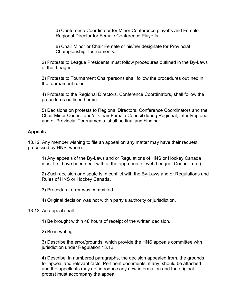d) Conference Coordinator for Minor Conference playoffs and Female Regional Director for Female Conference Playoffs.

e) Chair Minor or Chair Female or his/her designate for Provincial Championship Tournaments.

2) Protests to League Presidents must follow procedures outlined in the By-Laws of that League.

3) Protests to Tournament Chairpersons shall follow the procedures outlined in the tournament rules.

4) Protests to the Regional Directors, Conference Coordinators, shall follow the procedures outlined herein.

5) Decisions on protests to Regional Directors, Conference Coordinators and the Chair Minor Council and/or Chair Female Council during Regional, Inter-Regional and or Provincial Tournaments, shall be final and binding.

### **Appeals**

13.12. Any member wishing to file an appeal on any matter may have their request processed by HNS, where:

1) Any appeals of the By-Laws and or Regulations of HNS or Hockey Canada must first have been dealt with at the appropriate level (League, Council, etc.)

2) Such decision or dispute is in conflict with the By-Laws and or Regulations and Rules of HNS or Hockey Canada.

3) Procedural error was committed.

4) Original decision was not within party's authority or jurisdiction.

13.13. An appeal shall:

1) Be brought within 48 hours of receipt of the written decision.

2) Be in writing.

3) Describe the error/grounds, which provide the HNS appeals committee with jurisdiction under Regulation 13.12.

4) Describe, in numbered paragraphs, the decision appealed from, the grounds for appeal and relevant facts. Pertinent documents, if any, should be attached and the appellants may not introduce any new information and the original protest must accompany the appeal.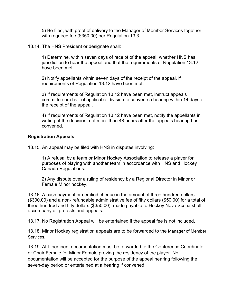5) Be filed, with proof of delivery to the Manager of Member Services together with required fee (\$350.00) per Regulation 13.3.

13.14. The HNS President or designate shall:

1) Determine, within seven days of receipt of the appeal, whether HNS has jurisdiction to hear the appeal and that the requirements of Regulation 13.12 have been met.

2) Notify appellants within seven days of the receipt of the appeal, if requirements of Regulation 13.12 have been met.

3) If requirements of Regulation 13.12 have been met, instruct appeals committee or chair of applicable division to convene a hearing within 14 days of the receipt of the appeal.

4) If requirements of Regulation 13.12 have been met, notify the appellants in writing of the decision, not more than 48 hours after the appeals hearing has convened.

#### **Registration Appeals**

13.15. An appeal may be filed with HNS in disputes involving:

1) A refusal by a team or Minor Hockey Association to release a player for purposes of playing with another team in accordance with HNS and Hockey Canada Regulations.

2) Any dispute over a ruling of residency by a Regional Director in Minor or Female Minor hockey.

13.16. A cash payment or certified cheque in the amount of three hundred dollars (\$300.00) and a non- refundable administrative fee of fifty dollars (\$50.00) for a total of three hundred and fifty dollars (\$350.00), made payable to Hockey Nova Scotia shall accompany all protests and appeals.

13.17. No Registration Appeal will be entertained if the appeal fee is not included.

13.18. Minor Hockey registration appeals are to be forwarded to the Manager of Member Services.

13.19. ALL pertinent documentation must be forwarded to the Conference Coordinator or Chair Female for Minor Female proving the residency of the player. No documentation will be accepted for the purpose of the appeal hearing following the seven-day period or entertained at a hearing if convened.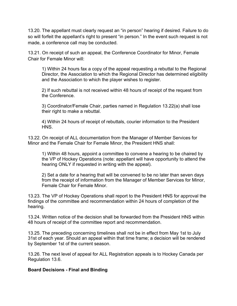13.20. The appellant must clearly request an "in person" hearing if desired. Failure to do so will forfeit the appellant's right to present "in person." In the event such request is not made, a conference call may be conducted.

13.21. On receipt of such an appeal, the Conference Coordinator for Minor, Female Chair for Female Minor will:

1) Within 24 hours fax a copy of the appeal requesting a rebuttal to the Regional Director, the Association to which the Regional Director has determined eligibility and the Association to which the player wishes to register.

2) If such rebuttal is not received within 48 hours of receipt of the request from the Conference.

3) Coordinator/Female Chair, parties named in Regulation 13.22(a) shall lose their right to make a rebuttal.

4) Within 24 hours of receipt of rebuttals, courier information to the President HNS.

13.22. On receipt of ALL documentation from the Manager of Member Services for Minor and the Female Chair for Female Minor, the President HNS shall:

1) Within 48 hours, appoint a committee to convene a hearing to be chaired by the VP of Hockey Operations (note: appellant will have opportunity to attend the hearing ONLY if requested in writing with the appeal).

2) Set a date for a hearing that will be convened to be no later than seven days from the receipt of information from the Manager of Member Services for Minor, Female Chair for Female Minor.

13.23. The VP of Hockey Operations shall report to the President HNS for approval the findings of the committee and recommendation within 24 hours of completion of the hearing.

13.24. Written notice of the decision shall be forwarded from the President HNS within 48 hours of receipt of the committee report and recommendation.

13.25. The preceding concerning timelines shall not be in effect from May 1st to July 31st of each year. Should an appeal within that time frame; a decision will be rendered by September 1st of the current season.

13.26. The next level of appeal for ALL Registration appeals is to Hockey Canada per Regulation 13.6.

### **Board Decisions - Final and Binding**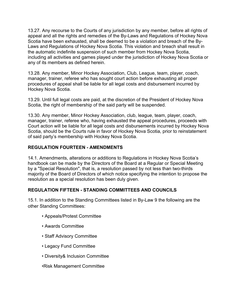13.27. Any recourse to the Courts of any jurisdiction by any member, before all rights of appeal and all the rights and remedies of the By-Laws and Regulations of Hockey Nova Scotia have been exhausted, shall be deemed to be a violation and breach of the By-Laws and Regulations of Hockey Nova Scotia. This violation and breach shall result in the automatic indefinite suspension of such member from Hockey Nova Scotia, including all activities and games played under the jurisdiction of Hockey Nova Scotia or any of its members as defined herein.

13.28. Any member, Minor Hockey Association, Club, League, team, player, coach, manager, trainer, referee who has sought court action before exhausting all proper procedures of appeal shall be liable for all legal costs and disbursement incurred by Hockey Nova Scotia.

13.29. Until full legal costs are paid, at the discretion of the President of Hockey Nova Scotia, the right of membership of the said party will be suspended.

13.30. Any member, Minor Hockey Association, club, league, team, player, coach, manager, trainer, referee who, having exhausted the appeal procedures, proceeds with Court action will be liable for all legal costs and disbursements incurred by Hockey Nova Scotia, should be the Courts rule in favor of Hockey Nova Scotia, prior to reinstatement of said party's membership with Hockey Nova Scotia.

# **REGULATION FOURTEEN - AMENDMENTS**

14.1. Amendments, alterations or additions to Regulations in Hockey Nova Scotia's handbook can be made by the Directors of the Board at a Regular or Special Meeting by a "Special Resolution", that is, a resolution passed by not less than two-thirds majority of the Board of Directors of which notice specifying the intention to propose the resolution as a special resolution has been duly given.

# **REGULATION FIFTEEN - STANDING COMMITTEES AND COUNCILS**

15.1. In addition to the Standing Committees listed in By-Law 9 the following are the other Standing Committees:

- Appeals/Protest Committee
- Awards Committee
- Staff Advisory Committee
- Legacy Fund Committee
- Diversity& Inclusion Committee
- •Risk Management Committee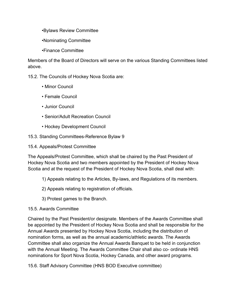•Bylaws Review Committee

•Nominating Committee

•Finance Committee

Members of the Board of Directors will serve on the various Standing Committees listed above.

15.2. The Councils of Hockey Nova Scotia are:

- Minor Council
- Female Council
- Junior Council
- Senior/Adult Recreation Council
- Hockey Development Council
- 15.3. Standing Committees-Reference Bylaw 9
- 15.4. Appeals/Protest Committee

The Appeals/Protest Committee, which shall be chaired by the Past President of Hockey Nova Scotia and two members appointed by the President of Hockey Nova Scotia and at the request of the President of Hockey Nova Scotia, shall deal with:

- 1) Appeals relating to the Articles, By-laws, and Regulations of its members.
- 2) Appeals relating to registration of officials.
- 3) Protest games to the Branch.
- 15.5. Awards Committee

Chaired by the Past President/or designate. Members of the Awards Committee shall be appointed by the President of Hockey Nova Scotia and shall be responsible for the Annual Awards presented by Hockey Nova Scotia, including the distribution of nomination forms, as well as the annual academic/athletic awards. The Awards Committee shall also organize the Annual Awards Banquet to be held in conjunction with the Annual Meeting. The Awards Committee Chair shall also co- ordinate HNS nominations for Sport Nova Scotia, Hockey Canada, and other award programs.

15.6. Staff Advisory Committee (HNS BOD Executive committee)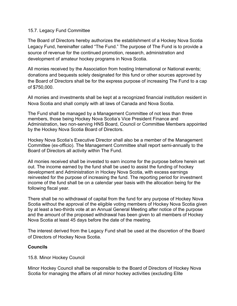### 15.7. Legacy Fund Committee

The Board of Directors hereby authorizes the establishment of a Hockey Nova Scotia Legacy Fund, hereinafter called "The Fund." The purpose of The Fund is to provide a source of revenue for the continued promotion, research, administration and development of amateur hockey programs in Nova Scotia.

All monies received by the Association from hosting International or National events; donations and bequests solely designated for this fund or other sources approved by the Board of Directors shall be for the express purpose of increasing The Fund to a cap of \$750,000.

All monies and investments shall be kept at a recognized financial institution resident in Nova Scotia and shall comply with all laws of Canada and Nova Scotia.

The Fund shall be managed by a Management Committee of not less than three members, those being Hockey Nova Scotia's Vice President Finance and Administration, two non-serving HNS Board, Council or Committee Members appointed by the Hockey Nova Scotia Board of Directors.

Hockey Nova Scotia's Executive Director shall also be a member of the Management Committee (ex-officio). The Management Committee shall report semi-annually to the Board of Directors all activity within The Fund.

All monies received shall be invested to earn income for the purpose before herein set out. The income earned by the fund shall be used to assist the funding of hockey development and Administration in Hockey Nova Scotia, with excess earnings reinvested for the purpose of increasing the fund. The reporting period for investment income of the fund shall be on a calendar year basis with the allocation being for the following fiscal year.

There shall be no withdrawal of capital from the fund for any purpose of Hockey Nova Scotia without the approval of the eligible voting members of Hockey Nova Scotia given by at least a two-thirds vote at an Annual General Meeting after notice of the purpose and the amount of the proposed withdrawal has been given to all members of Hockey Nova Scotia at least 45 days before the date of the meeting.

The interest derived from the Legacy Fund shall be used at the discretion of the Board of Directors of Hockey Nova Scotia.

# **Councils**

15.8. Minor Hockey Council

Minor Hockey Council shall be responsible to the Board of Directors of Hockey Nova Scotia for managing the affairs of all minor hockey activities (excluding Elite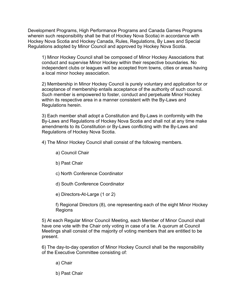Development Programs, High Performance Programs and Canada Games Programs wherein such responsibility shall be that of Hockey Nova Scotia) in accordance with Hockey Nova Scotia and Hockey Canada, Rules, Regulations, By Laws and Special Regulations adopted by Minor Council and approved by Hockey Nova Scotia.

1) Minor Hockey Council shall be composed of Minor Hockey Associations that conduct and supervise Minor Hockey within their respective boundaries. No independent clubs or leagues will be accepted from towns, cities or areas having a local minor hockey association.

2) Membership in Minor Hockey Council is purely voluntary and application for or acceptance of membership entails acceptance of the authority of such council. Such member is empowered to foster, conduct and perpetuate Minor Hockey within its respective area in a manner consistent with the By-Laws and Regulations herein.

3) Each member shall adopt a Constitution and By-Laws in conformity with the By-Laws and Regulations of Hockey Nova Scotia and shall not at any time make amendments to its Constitution or By-Laws conflicting with the By-Laws and Regulations of Hockey Nova Scotia.

4) The Minor Hockey Council shall consist of the following members.

- a) Council Chair
- b) Past Chair
- c) North Conference Coordinator
- d) South Conference Coordinator

e) Directors-At-Large (1 or 2)

f) Regional Directors (8), one representing each of the eight Minor Hockey Regions

5) At each Regular Minor Council Meeting, each Member of Minor Council shall have one vote with the Chair only voting in case of a tie. A quorum at Council Meetings shall consist of the majority of voting members that are entitled to be present.

6) The day-to-day operation of Minor Hockey Council shall be the responsibility of the Executive Committee consisting of:

a) Chair

b) Past Chair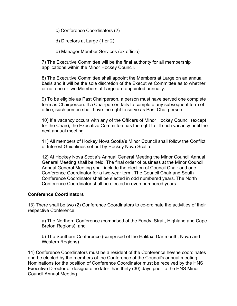c) Conference Coordinators (2)

d) Directors at Large (1 or 2)

e) Manager Member Services (ex officio)

7) The Executive Committee will be the final authority for all membership applications within the Minor Hockey Council.

8) The Executive Committee shall appoint the Members at Large on an annual basis and it will be the sole discretion of the Executive Committee as to whether or not one or two Members at Large are appointed annually.

9) To be eligible as Past Chairperson, a person must have served one complete term as Chairperson. If a Chairperson fails to complete any subsequent term of office, such person shall have the right to serve as Past Chairperson.

10) If a vacancy occurs with any of the Officers of Minor Hockey Council (except for the Chair), the Executive Committee has the right to fill such vacancy until the next annual meeting.

11) All members of Hockey Nova Scotia's Minor Council shall follow the Conflict of Interest Guidelines set out by Hockey Nova Scotia.

12) At Hockey Nova Scotia's Annual General Meeting the Minor Council Annual General Meeting shall be held. The final order of business at the Minor Council Annual General Meeting shall include the election of Council Chair and one Conference Coordinator for a two-year term. The Council Chair and South Conference Coordinator shall be elected in odd numbered years. The North Conference Coordinator shall be elected in even numbered years.

### **Conference Coordinators**

13) There shall be two (2) Conference Coordinators to co-ordinate the activities of their respective Conference:

a) The Northern Conference (comprised of the Fundy, Strait, Highland and Cape Breton Regions); and

b) The Southern Conference (comprised of the Halifax, Dartmouth, Nova and Western Regions).

14) Conference Coordinators must be a resident of the Conference he/she coordinates and be elected by the members of the Conference at the Council's annual meeting. Nominations for the position of Conference Coordinator must be received by the HNS Executive Director or designate no later than thirty (30) days prior to the HNS Minor Council Annual Meeting.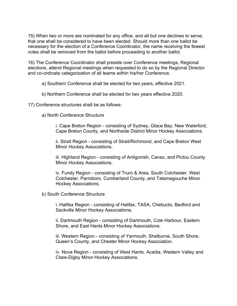15) When two or more are nominated for any office, and all but one declines to serve, that one shall be considered to have been elected. Should more than one ballot be necessary for the election of a Conference Coordinator, the name receiving the fewest votes shall be removed from the ballot before proceeding to another ballot.

16) The Conference Coordinator shall preside over Conference meetings, Regional elections, attend Regional meetings when requested to do so by the Regional Director and co-ordinate categorization of all teams within his/her Conference.

a) Southern Conference shall be elected for two years, effective 2021.

b) Northern Conference shall be elected for two years effective 2020.

17) Conference structures shall be as follows:

a) North Conference Structure

i. Cape Breton Region - consisting of Sydney, Glace Bay, New Waterford, Cape Breton County, and Northside District Minor Hockey Associations.

ii. Strait Region - consisting of Strait/Richmond, and Cape Breton West Minor Hockey Associations.

iii. Highland Region - consisting of Antigonish, Canso, and Pictou County Minor Hockey Associations.

iv. Fundy Region - consisting of Truro & Area, South Colchester, West Colchester, Parrsboro, Cumberland County, and Tatamagouche Minor Hockey Associations.

b) South Conference Structure

i. Halifax Region - consisting of Halifax, TASA, Chebucto, Bedford and Sackville Minor Hockey Associations.

ii. Dartmouth Region - consisting of Dartmouth, Cole Harbour, Eastern Shore, and East Hants Minor Hockey Associations.

iii. Western Region - consisting of Yarmouth, Shelburne, South Shore, Queen's County, and Chester Minor Hockey Association.

iv. Nova Region - consisting of West Hants, Acadia, Western Valley and Clare-Digby Minor Hockey Associations.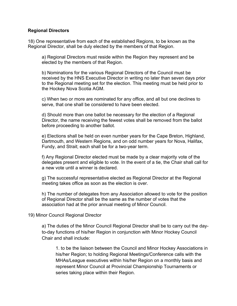#### **Regional Directors**

18) One representative from each of the established Regions, to be known as the Regional Director, shall be duly elected by the members of that Region.

a) Regional Directors must reside within the Region they represent and be elected by the members of that Region.

b) Nominations for the various Regional Directors of the Council must be received by the HNS Executive Director in writing no later than seven days prior to the Regional meeting set for the election. This meeting must be held prior to the Hockey Nova Scotia AGM.

c) When two or more are nominated for any office, and all but one declines to serve, that one shall be considered to have been elected.

d) Should more than one ballot be necessary for the election of a Regional Director, the name receiving the fewest votes shall be removed from the ballot before proceeding to another ballot.

e) Elections shall be held on even number years for the Cape Breton, Highland, Dartmouth, and Western Regions, and on odd number years for Nova, Halifax, Fundy, and Strait; each shall be for a two-year term.

f) Any Regional Director elected must be made by a clear majority vote of the delegates present and eligible to vote. In the event of a tie, the Chair shall call for a new vote until a winner is declared.

g) The successful representative elected as Regional Director at the Regional meeting takes office as soon as the election is over.

h) The number of delegates from any Association allowed to vote for the position of Regional Director shall be the same as the number of votes that the association had at the prior annual meeting of Minor Council.

19) Minor Council Regional Director

a) The duties of the Minor Council Regional Director shall be to carry out the dayto-day functions of his/her Region in conjunction with Minor Hockey Council Chair and shall include:

1. to be the liaison between the Council and Minor Hockey Associations in his/her Region; to holding Regional Meetings/Conference calls with the MHAs/League executives within his/her Region on a monthly basis and represent Minor Council at Provincial Championship Tournaments or series taking place within their Region.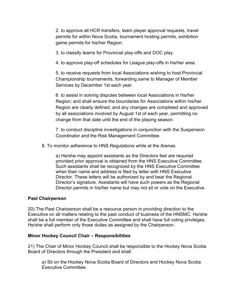2. to approve all HCR transfers, team player approval requests, travel permits for within Nova Scotia, tournament hosting permits, exhibition game permits for his/her Region.

3. to classify teams for Provincial play-offs and DOC play.

4. to approve play-off schedules for League play-offs in his/her area.

5. to receive requests from local Associations wishing to host Provincial Championship tournaments, forwarding same to Manager of Member Services by December 1st each year.

6. to assist in solving disputes between local Associations in his/her Region; and shall ensure the boundaries for Associations within his/her Region are clearly defined, and any changes are completed and approved by all associations involved by August 1st of each year, permitting no change from that date until the end of the playing season.

7. to conduct discipline investigations in conjunction with the Suspension Coordinator and the Risk Management Committee.

8. To monitor adherence to HNS Regulations while at the Arenas.

a) He/she may appoint assistants as the Directors feel are required provided prior approval is obtained from the HNS Executive Committee. Such assistants shall be recognized by the HNS Executive Committee when their name and address is filed by letter with HNS Executive Director. These letters will be authorized by and bear the Regional Director's signature. Assistants will have such powers as the Regional Director permits in his/her name but may not sit or vote on the Executive.

### **Past Chairperson**

20) The Past Chairperson shall be a resource person in providing direction to the Executive on all matters relating to the past conduct of business of the HNSMC. He/she shall be a full member of the Executive Committee and shall have full voting privileges. He/she shall perform only those duties as assigned by the Chairperson.

### **Minor Hockey Council Chair – Responsibilities**

21) The Chair of Minor Hockey Council shall be responsible to the Hockey Nova Scotia Board of Directors through the President and shall:

a) Sit on the Hockey Nova Scotia Board of Directors and Hockey Nova Scotia Executive Committee.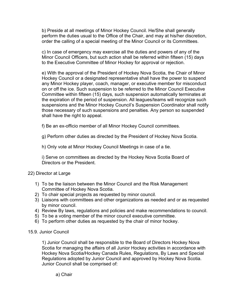b) Preside at all meetings of Minor Hockey Council. He/She shall generally perform the duties usual to the Office of the Chair, and may at his/her discretion, order the calling of a special meeting of the Minor Council or its Committees.

c) In case of emergency may exercise all the duties and powers of any of the Minor Council Officers, but such action shall be referred within fifteen (15) days to the Executive Committee of Minor Hockey for approval or rejection.

e) With the approval of the President of Hockey Nova Scotia, the Chair of Minor Hockey Council or a designated representative shall have the power to suspend any Minor Hockey player, coach, manager, or executive member for misconduct on or off the ice. Such suspension to be referred to the Minor Council Executive Committee within fifteen (15) days, such suspension automatically terminates at the expiration of the period of suspension. All leagues/teams will recognize such suspensions and the Minor Hockey Council's Suspension Coordinator shall notify those necessary of such suspensions and penalties. Any person so suspended shall have the right to appeal.

f) Be an ex-officio member of all Minor Hockey Council committees.

g) Perform other duties as directed by the President of Hockey Nova Scotia.

h) Only vote at Minor Hockey Council Meetings in case of a tie.

i) Serve on committees as directed by the Hockey Nova Scotia Board of Directors or the President.

# 22) Director at Large

- 1) To be the liaison between the Minor Council and the Risk Management Committee of Hockey Nova Scotia.
- 2) To chair special projects as requested by minor council.
- 3) Liaisons with committees and other organizations as needed and or as requested by minor council.
- 4) Review By laws, regulations and policies and make recommendations to council.
- 5) To be a voting member of the minor council executive committee.
- 6) To perform other duties as requested by the chair of minor hockey.

### 15.9. Junior Council

1) Junior Council shall be responsible to the Board of Directors Hockey Nova Scotia for managing the affairs of all Junior Hockey activities in accordance with Hockey Nova Scotia/Hockey Canada Rules, Regulations, By Laws and Special Regulations adopted by Junior Council and approved by Hockey Nova Scotia. Junior Council shall be comprised of:

a) Chair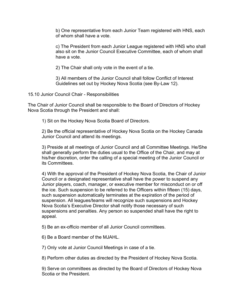b) One representative from each Junior Team registered with HNS, each of whom shall have a vote.

c) The President from each Junior League registered with HNS who shall also sit on the Junior Council Executive Committee, each of whom shall have a vote.

2) The Chair shall only vote in the event of a tie.

3) All members of the Junior Council shall follow Conflict of Interest Guidelines set out by Hockey Nova Scotia (see By-Law 12).

15.10 Junior Council Chair - Responsibilities

The Chair of Junior Council shall be responsible to the Board of Directors of Hockey Nova Scotia through the President and shall:

1) Sit on the Hockey Nova Scotia Board of Directors.

2) Be the official representative of Hockey Nova Scotia on the Hockey Canada Junior Council and attend its meetings.

3) Preside at all meetings of Junior Council and all Committee Meetings. He/She shall generally perform the duties usual to the Office of the Chair, and may at his/her discretion, order the calling of a special meeting of the Junior Council or its Committees.

4) With the approval of the President of Hockey Nova Scotia, the Chair of Junior Council or a designated representative shall have the power to suspend any Junior players, coach, manager, or executive member for misconduct on or off the ice. Such suspension to be referred to the Officers within fifteen (15) days, such suspension automatically terminates at the expiration of the period of suspension. All leagues/teams will recognize such suspensions and Hockey Nova Scotia's Executive Director shall notify those necessary of such suspensions and penalties. Any person so suspended shall have the right to appeal.

5) Be an ex-officio member of all Junior Council committees.

6) Be a Board member of the MJAHL.

7) Only vote at Junior Council Meetings in case of a tie.

8) Perform other duties as directed by the President of Hockey Nova Scotia.

9) Serve on committees as directed by the Board of Directors of Hockey Nova Scotia or the President.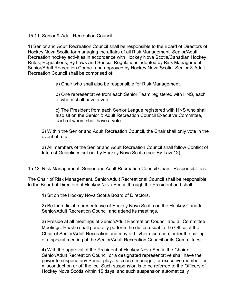### 15.11. Senior & Adult Recreation Council

1) Senior and Adult Recreation Council shall be responsible to the Board of Directors of Hockey Nova Scotia for managing the affairs of all Risk Management, Senior/Adult Recreation hockey activities in accordance with Hockey Nova Scotia/Canadian Hockey, Rules, Regulations, By Laws and Special Regulations adopted by Risk Management, Senior/Adult Recreation Council and approved by Hockey Nova Scotia. Senior & Adult Recreation Council shall be comprised of:

a) Chair who shall also be responsible for Risk Management.

b) One representative from each Senior Team registered with HNS, each of whom shall have a vote.

c) The President from each Senior League registered with HNS who shall also sit on the Senior & Adult Recreation Council Executive Committee, each of whom shall have a vote.

2) Within the Senior and Adult Recreation Council, the Chair shall only vote in the event of a tie.

3) All members of the Senior and Adult Recreation Council shall follow Conflict of Interest Guidelines set out by Hockey Nova Scotia (see By-Law 12).

15.12. Risk Management, Senior and Adult Recreation Council Chair - Responsibilities

The Chair of Risk Management, Senior/Adult Recreational Council shall be responsible to the Board of Directors of Hockey Nova Scotia through the President and shall:

1) Sit on the Hockey Nova Scotia Board of Directors.

2) Be the official representative of Hockey Nova Scotia on the Hockey Canada Senior/Adult Recreation Council and attend its meetings.

3) Preside at all meetings of Senior/Adult Recreation Council and all Committee Meetings. He/she shall generally perform the duties usual to the Office of the Chair of Senior/Adult Recreation and may at his/her discretion, order the calling of a special meeting of the Senior/Adult Recreation Council or its Committees.

4) With the approval of the President of Hockey Nova Scotia the Chair of Senior/Adult Recreation Council or a designated representative shall have the power to suspend any Senior players, coach, manager, or executive member for misconduct on or off the ice. Such suspension is to be referred to the Officers of Hockey Nova Scotia within 15 days, and such suspension automatically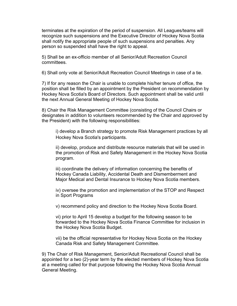terminates at the expiration of the period of suspension. All Leagues/teams will recognize such suspensions and the Executive Director of Hockey Nova Scotia shall notify the appropriate people of such suspensions and penalties. Any person so suspended shall have the right to appeal.

5) Shall be an ex-officio member of all Senior/Adult Recreation Council committees.

6) Shall only vote at Senior/Adult Recreation Council Meetings in case of a tie.

7) If for any reason the Chair is unable to complete his/her tenure of office, the position shall be filled by an appointment by the President on recommendation by Hockey Nova Scotia's Board of Directors. Such appointment shall be valid until the next Annual General Meeting of Hockey Nova Scotia.

8) Chair the Risk Management Committee (consisting of the Council Chairs or designates in addition to volunteers recommended by the Chair and approved by the President) with the following responsibilities:

i) develop a Branch strategy to promote Risk Management practices by all Hockey Nova Scotia's participants.

ii) develop, produce and distribute resource materials that will be used in the promotion of Risk and Safety Management in the Hockey Nova Scotia program.

iii) coordinate the delivery of information concerning the benefits of Hockey Canada Liability, Accidental Death and Dismemberment and Major Medical and Dental Insurance to Hockey Nova Scotia members.

iv) oversee the promotion and implementation of the STOP and Respect in Sport Programs

v) recommend policy and direction to the Hockey Nova Scotia Board.

vi) prior to April 15 develop a budget for the following season to be forwarded to the Hockey Nova Scotia Finance Committee for inclusion in the Hockey Nova Scotia Budget.

vii) be the official representative for Hockey Nova Scotia on the Hockey Canada Risk and Safety Management Committee.

9) The Chair of Risk Management, Senior/Adult Recreational Council shall be appointed for a two (2)-year term by the elected members of Hockey Nova Scotia at a meeting called for that purpose following the Hockey Nova Scotia Annual General Meeting.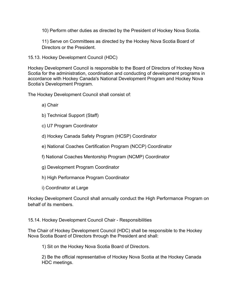10) Perform other duties as directed by the President of Hockey Nova Scotia.

11) Serve on Committees as directed by the Hockey Nova Scotia Board of Directors or the President.

15.13. Hockey Development Council (HDC)

Hockey Development Council is responsible to the Board of Directors of Hockey Nova Scotia for the administration, coordination and conducting of development programs in accordance with Hockey Canada's National Development Program and Hockey Nova Scotia's Development Program.

The Hockey Development Council shall consist of:

- a) Chair
- b) Technical Support (Staff)
- c) U7 Program Coordinator
- d) Hockey Canada Safety Program (HCSP) Coordinator
- e) National Coaches Certification Program (NCCP) Coordinator
- f) National Coaches Mentorship Program (NCMP) Coordinator
- g) Development Program Coordinator
- h) High Performance Program Coordinator
- i) Coordinator at Large

Hockey Development Council shall annually conduct the High Performance Program on behalf of its members.

15.14. Hockey Development Council Chair - Responsibilities

The Chair of Hockey Development Council (HDC) shall be responsible to the Hockey Nova Scotia Board of Directors through the President and shall:

1) Sit on the Hockey Nova Scotia Board of Directors.

2) Be the official representative of Hockey Nova Scotia at the Hockey Canada HDC meetings.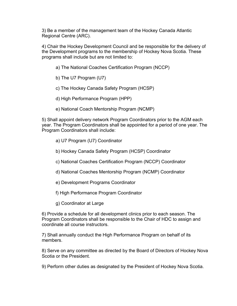3) Be a member of the management team of the Hockey Canada Atlantic Regional Centre (ARC).

4) Chair the Hockey Development Council and be responsible for the delivery of the Development programs to the membership of Hockey Nova Scotia. These programs shall include but are not limited to:

- a) The National Coaches Certification Program (NCCP)
- b) The U7 Program (U7)
- c) The Hockey Canada Safety Program (HCSP)
- d) High Performance Program (HPP)
- e) National Coach Mentorship Program (NCMP)

5) Shall appoint delivery network Program Coordinators prior to the AGM each year. The Program Coordinators shall be appointed for a period of one year. The Program Coordinators shall include:

- a) U7 Program (U7) Coordinator
- b) Hockey Canada Safety Program (HCSP) Coordinator
- c) National Coaches Certification Program (NCCP) Coordinator
- d) National Coaches Mentorship Program (NCMP) Coordinator
- e) Development Programs Coordinator
- f) High Performance Program Coordinator
- g) Coordinator at Large

6) Provide a schedule for all development clinics prior to each season. The Program Coordinators shall be responsible to the Chair of HDC to assign and coordinate all course instructors.

7) Shall annually conduct the High Performance Program on behalf of its members.

8) Serve on any committee as directed by the Board of Directors of Hockey Nova Scotia or the President.

9) Perform other duties as designated by the President of Hockey Nova Scotia.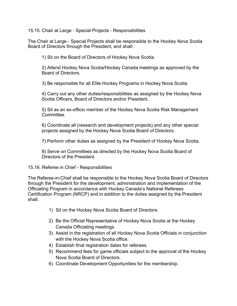15.15. Chair at Large - Special Projects - Responsibilities

The Chair at Large - Special Projects shall be responsible to the Hockey Nova Scotia Board of Directors through the President, and shall:

1) Sit on the Board of Directors of Hockey Nova Scotia.

2) Attend Hockey Nova Scotia/Hockey Canada meetings as approved by the Board of Directors.

3) Be responsible for all Elite Hockey Programs in Hockey Nova Scotia.

4) Carry out any other duties/responsibilities as assigned by the Hockey Nova Scotia Officers, Board of Directors and/or President.

5) Sit as an ex-officio member of the Hockey Nova Scotia Risk Management Committee.

6) Coordinate all (research and development projects) and any other special projects assigned by the Hockey Nova Scotia Board of Directors.

7) Perform other duties as assigned by the President of Hockey Nova Scotia.

8) Serve on Committees as directed by the Hockey Nova Scotia Board of Directors of the President.

### 15.16. Referee in Chief - Responsibilities

The Referee-in-Chief shall be responsible to the Hockey Nova Scotia Board of Directors through the President for the development, administration and implementation of the Officiating Program in accordance with Hockey Canada's National Referees Certification Program (NRCP) and in addition to the duties assigned by the President shall:

- 1) Sit on the Hockey Nova Scotia Board of Directors.
- 2) Be the Official Representative of Hockey Nova Scotia at the Hockey Canada Officiating meetings.
- 3) Assist in the registration of all Hockey Nova Scotia Officials in conjunction with the Hockey Nova Scotia office.
- 4) Establish final registration dates for referees.
- 5) Recommend fees for game officials subject to the approval of the Hockey Nova Scotia Board of Directors.
- 6) Coordinate Development Opportunities for the membership.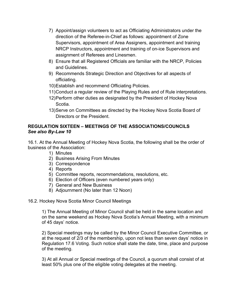- 7) Appoint/assign volunteers to act as Officiating Administrators under the direction of the Referee-in-Chief as follows: appointment of Zone Supervisors, appointment of Area Assigners, appointment and training NRCP Instructors, appointment and training of on-ice Supervisors and assignment of Referees and Linesmen.
- 8) Ensure that all Registered Officials are familiar with the NRCP, Policies and Guidelines.
- 9) Recommends Strategic Direction and Objectives for all aspects of officiating.
- 10)Establish and recommend Officiating Policies.
- 11)Conduct a regular review of the Playing Rules and of Rule interpretations.
- 12)Perform other duties as designated by the President of Hockey Nova Scotia.
- 13)Serve on Committees as directed by the Hockey Nova Scotia Board of Directors or the President.

# **REGULATION SIXTEEN – MEETINGS OF THE ASSOCIATIONS/COUNCILS**  *See also By-Law 10*

16.1. At the Annual Meeting of Hockey Nova Scotia, the following shall be the order of business of the Association:

- 1) Minutes
- 2) Business Arising From Minutes
- 3) Correspondence
- 4) Reports
- 5) Committee reports, recommendations, resolutions, etc.
- 6) Election of Officers (even numbered years only)
- 7) General and New Business
- 8) Adjournment (No later than 12 Noon)
- 16.2. Hockey Nova Scotia Minor Council Meetings

1) The Annual Meeting of Minor Council shall be held in the same location and on the same weekend as Hockey Nova Scotia's Annual Meeting, with a minimum of 45 days' notice.

2) Special meetings may be called by the Minor Council Executive Committee, or at the request of 2/3 of the membership, upon not less than seven days' notice in Regulation 17.6 Voting. Such notice shall state the date, time, place and purpose of the meeting.

3) At all Annual or Special meetings of the Council, a quorum shall consist of at least 50% plus one of the eligible voting delegates at the meeting.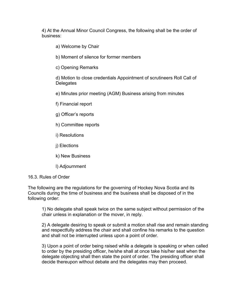4) At the Annual Minor Council Congress, the following shall be the order of business:

a) Welcome by Chair

b) Moment of silence for former members

c) Opening Remarks

d) Motion to close credentials Appointment of scrutineers Roll Call of **Delegates** 

e) Minutes prior meeting (AGM) Business arising from minutes

f) Financial report

g) Officer's reports

h) Committee reports

i) Resolutions

j) Elections

k) New Business

l) Adjournment

16.3. Rules of Order

The following are the regulations for the governing of Hockey Nova Scotia and its Councils during the time of business and the business shall be disposed of in the following order:

1) No delegate shall speak twice on the same subject without permission of the chair unless in explanation or the mover, in reply.

2) A delegate desiring to speak or submit a motion shall rise and remain standing and respectfully address the chair and shall confine his remarks to the question and shall not be interrupted unless upon a point of order.

3) Upon a point of order being raised while a delegate is speaking or when called to order by the presiding officer, he/she shall at once take his/her seat when the delegate objecting shall then state the point of order. The presiding officer shall decide thereupon without debate and the delegates may then proceed.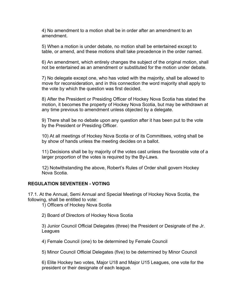4) No amendment to a motion shall be in order after an amendment to an amendment.

5) When a motion is under debate, no motion shall be entertained except to table, or amend, and these motions shall take precedence in the order named.

6) An amendment, which entirely changes the subject of the original motion, shall not be entertained as an amendment or substituted for the motion under debate.

7) No delegate except one, who has voted with the majority, shall be allowed to move for reconsideration, and in this connection the word majority shall apply to the vote by which the question was first decided.

8) After the President or Presiding Officer of Hockey Nova Scotia has stated the motion, it becomes the property of Hockey Nova Scotia, but may be withdrawn at any time previous to amendment unless objected by a delegate.

9) There shall be no debate upon any question after it has been put to the vote by the President or Presiding Officer.

10) At all meetings of Hockey Nova Scotia or of its Committees, voting shall be by show of hands unless the meeting decides on a ballot.

11) Decisions shall be by majority of the votes cast unless the favorable vote of a larger proportion of the votes is required by the By-Laws.

12) Notwithstanding the above, Robert's Rules of Order shall govern Hockey Nova Scotia.

# **REGULATION SEVENTEEN - VOTING**

17.1. At the Annual, Semi Annual and Special Meetings of Hockey Nova Scotia, the following, shall be entitled to vote:

1) Officers of Hockey Nova Scotia

2) Board of Directors of Hockey Nova Scotia

3) Junior Council Official Delegates (three) the President or Designate of the Jr. Leagues

4) Female Council (one) to be determined by Female Council

5) Minor Council Official Delegates (five) to be determined by Minor Council

6) Elite Hockey two votes, Major U18 and Major U15 Leagues, one vote for the president or their designate of each league.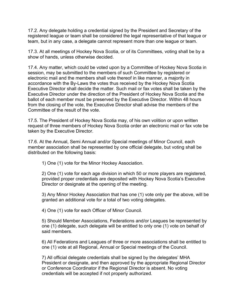17.2. Any delegate holding a credential signed by the President and Secretary of the registered league or team shall be considered the legal representative of that league or team, but in any case, a delegate cannot represent more than one league or team.

17.3. At all meetings of Hockey Nova Scotia, or of its Committees, voting shall be by a show of hands, unless otherwise decided.

17.4. Any matter, which could be voted upon by a Committee of Hockey Nova Scotia in session, may be submitted to the members of such Committee by registered or electronic mail and the members shall vote thereof in like manner, a majority in accordance with the By-Laws the votes thus received by the Hockey Nova Scotia Executive Director shall decide the matter. Such mail or fax votes shall be taken by the Executive Director under the direction of the President of Hockey Nova Scotia and the ballot of each member must be preserved by the Executive Director. Within 48 hours from the closing of the vote, the Executive Director shall advise the members of the Committee of the result of the vote.

17.5. The President of Hockey Nova Scotia may, of his own volition or upon written request of three members of Hockey Nova Scotia order an electronic mail or fax vote be taken by the Executive Director.

17.6. At the Annual, Semi Annual and/or Special meetings of Minor Council, each member association shall be represented by one official delegate, but voting shall be distributed on the following basis:

1) One (1) vote for the Minor Hockey Association.

2) One (1) vote for each age division in which 50 or more players are registered, provided proper credentials are deposited with Hockey Nova Scotia's Executive Director or designate at the opening of the meeting.

3) Any Minor Hockey Association that has one (1) vote only per the above, will be granted an additional vote for a total of two voting delegates.

4) One (1) vote for each Officer of Minor Council.

5) Should Member Associations, Federations and/or Leagues be represented by one (1) delegate, such delegate will be entitled to only one (1) vote on behalf of said members.

6) All Federations and Leagues of three or more associations shall be entitled to one (1) vote at all Regional, Annual or Special meetings of the Council.

7) All official delegate credentials shall be signed by the delegates' MHA President or designate, and then approved by the appropriate Regional Director or Conference Coordinator if the Regional Director is absent. No voting credentials will be accepted if not properly authorized.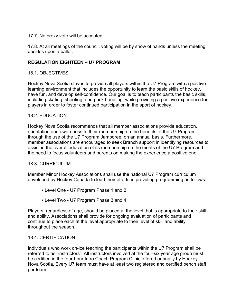## 17.7. No proxy vote will be accepted.

17.8. At all meetings of the council, voting will be by show of hands unless the meeting decides upon a ballot.

# **REGULATION EIGHTEEN – U7 PROGRAM**

## 18.1. OBJECTIVES

Hockey Nova Scotia strives to provide all players within the U7 Program with a positive learning environment that includes the opportunity to learn the basic skills of hockey, have fun, and develop self-confidence. Our goal is to teach participants the basic skills, including skating, shooting, and puck handling, while providing a positive experience for players in order to foster continued participation in the sport of hockey.

## 18.2. EDUCATION

Hockey Nova Scotia recommends that all member associations provide education, orientation and awareness to their membership on the benefits of the U7 Program through the use of the U7 Program Jamboree, on an annual basis. Furthermore, member associations are encouraged to seek Branch support in identifying resources to assist in the overall education of its membership on the merits of the U7 Program and the need to focus volunteers and parents on making the experience a positive one.

### 18.3. CURRICULUM

Member Minor Hockey Associations shall use the national U7 Program curriculum developed by Hockey Canada to lead their efforts in providing programming as follows:

- Level One U7 Program Phase 1 and 2
- Level Two U7 Program Phase 3 and 4

Players, regardless of age, should be placed at the level that is appropriate to their skill and ability. Associations shall provide for ongoing evaluation of participants and continue to place each at the level appropriate to their level of skill and ability throughout the season.

### 18.4. CERTIFICATION

Individuals who work on-ice teaching the participants within the U7 Program shall be referred to as "instructors". All instructors involved at the four-six year age group must be certified in the four-hour Intro Coach Program Clinic offered annually by Hockey Nova Scotia. Every U7 team must have at least two registered and certified bench staff per team.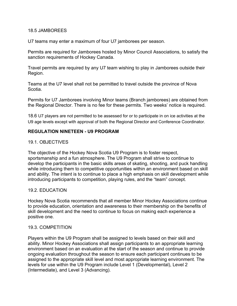#### 18.5 JAMBOREES

U7 teams may enter a maximum of four U7 jamborees per season.

Permits are required for Jamborees hosted by Minor Council Associations, to satisfy the sanction requirements of Hockey Canada.

Travel permits are required by any U7 team wishing to play in Jamborees outside their Region.

Teams at the U7 level shall not be permitted to travel outside the province of Nova Scotia.

Permits for U7 Jamborees involving Minor teams (Branch jamborees) are obtained from the Regional Director. There is no fee for these permits. Two weeks' notice is required.

18.6 U7 players are not permitted to be assessed for or to participate in on ice activities at the U9 age levels except with approval of both the Regional Director and Conference Coordinator.

### **REGULATION NINETEEN - U9 PROGRAM**

### 19.1. OBJECTIVES

The objective of the Hockey Nova Scotia U9 Program is to foster respect, sportsmanship and a fun atmosphere. The U9 Program shall strive to continue to develop the participants in the basic skills areas of skating, shooting, and puck handling while introducing them to competitive opportunities within an environment based on skill and ability. The intent is to continue to place a high emphasis on skill development while introducing participants to competition, playing rules, and the "team" concept.

### 19.2. EDUCATION

Hockey Nova Scotia recommends that all member Minor Hockey Associations continue to provide education, orientation and awareness to their membership on the benefits of skill development and the need to continue to focus on making each experience a positive one.

#### 19.3. COMPETITION

Players within the U9 Program shall be assigned to levels based on their skill and ability. Minor Hockey Associations shall assign participants to an appropriate learning environment based on an evaluation at the start of the season and continue to provide ongoing evaluation throughout the season to ensure each participant continues to be assigned to the appropriate skill level and most appropriate learning environment. The levels for use within the U9 Program include Level 1 (Developmental), Level 2 (Intermediate), and Level 3 (Advancing).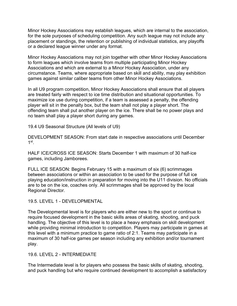Minor Hockey Associations may establish leagues, which are internal to the association, for the sole purposes of scheduling competition. Any such league may not include any placement or standings, the retention or publishing of individual statistics, any playoffs or a declared league winner under any format.

Minor Hockey Associations may not join together with other Minor Hockey Associations to form leagues which involve teams from multiple participating Minor Hockey Associations and which are external to a Minor Hockey Association, under any circumstance. Teams, where appropriate based on skill and ability, may play exhibition games against similar caliber teams from other Minor Hockey Associations.

In all U9 program competition, Minor Hockey Associations shall ensure that all players are treated fairly with respect to ice time distribution and situational opportunities. To maximize ice use during competition, if a team is assessed a penalty, the offending player will sit in the penalty box, but the team shall not play a player short. The offending team shall put another player on the ice. There shall be no power plays and no team shall play a player short during any games.

19.4 U9 Seasonal Structure (All levels of U9)

DEVELOPMENT SEASON: From start date in respective associations until December  $1$ st

HALF ICE/CROSS ICE SEASON: Starts December 1 with maximum of 30 half-ice games, including Jamborees.

FULL ICE SEASON: Begins February 15 with a maximum of six (6) scrimmages between associations or within an association to be used for the purpose of full ice playing education/instruction in preparation for moving into the U11 division. No officials are to be on the ice, coaches only. All scrimmages shall be approved by the local Regional Director.

19.5. LEVEL 1 - DEVELOPMENTAL

The Developmental level is for players who are either new to the sport or continue to require focused development in the basic skills areas of skating, shooting, and puck handling. The objective of this level is to place a heavy emphasis on skill development while providing minimal introduction to competition. Players may participate in games at this level with a minimum practice to game ratio of 2:1. Teams may participate in a maximum of 30 half-ice games per season including any exhibition and/or tournament play.

19.6. LEVEL 2 - INTERMEDIATE

The Intermediate level is for players who possess the basic skills of skating, shooting, and puck handling but who require continued development to accomplish a satisfactory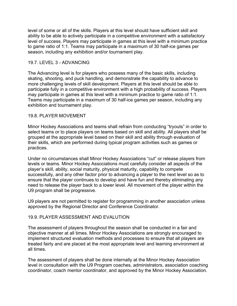level of some or all of the skills. Players at this level should have sufficient skill and ability to be able to actively participate in a competitive environment with a satisfactory level of success. Players may participate in games at this level with a minimum practice to game ratio of 1:1. Teams may participate in a maximum of 30 half-ice games per season, including any exhibition and/or tournament play.

### 19.7. LEVEL 3 - ADVANCING

The Advancing level is for players who possess many of the basic skills, including skating, shooting, and puck handling, and demonstrate the capability to advance to more challenging levels of skill development. Players at this level should be able to participate fully in a competitive environment with a high probability of success. Players may participate in games at this level with a minimum practice to game ratio of 1:1. Teams may participate in a maximum of 30 half-ice games per season, including any exhibition and tournament play.

## 19.8. PLAYER MOVEMENT

Minor Hockey Associations and teams shall refrain from conducting "tryouts" in order to select teams or to place players on teams based on skill and ability. All players shall be grouped at the appropriate level based on their skill and ability through evaluation of their skills, which are performed during typical program activities such as games or practices.

Under no circumstances shall Minor Hockey Associations "cut" or release players from levels or teams. Minor Hockey Associations must carefully consider all aspects of the player's skill, ability, social maturity, physical maturity, capability to compete successfully, and any other factor prior to advancing a player to the next level so as to ensure that the player continues to develop and have fun and thereby eliminating any need to release the player back to a lower level. All movement of the player within the U9 program shall be progressive.

U9 players are not permitted to register for programming in another association unless approved by the Regional Director and Conference Coordinator.

### 19.9. PLAYER ASSESSMENT AND EVALUTION

The assessment of players throughout the season shall be conducted in a fair and objective manner at all times. Minor Hockey Associations are strongly encouraged to implement structured evaluation methods and processes to ensure that all players are treated fairly and are placed at the most appropriate level and learning environment at all times.

The assessment of players shall be done internally at the Minor Hockey Association level in consultation with the U9 Program coaches, administrators, association coaching coordinator, coach mentor coordinator, and approved by the Minor Hockey Association.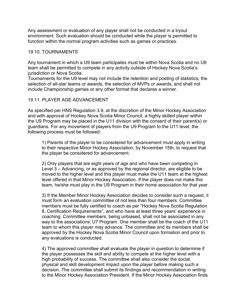Any assessment or evaluation of any player shall not be conducted in a tryout environment. Such evaluation should be conducted while the player is permitted to function within the normal program activities such as games or practices.

### 19.10. TOURNAMENTS

Any tournament in which a U9 team participates must be within Nova Scotia and no U9 team shall be permitted to compete in any activity outside of Hockey Nova Scotia's jurisdiction or Nova Scotia.

Tournaments for the U9 level may not include the retention and posting of statistics, the selection of all-star teams or awards, the selection of MVPs or awards, and shall not include Championship games or any other format that declares a winner.

### 19.11. PLAYER AGE ADVANCEMENT

As specified per HNS Regulation 3.9, at the discretion of the Minor Hockey Association and with approval of Hockey Nova Scotia Minor Council, a highly skilled player within the U9 Program may be placed in the U11 division with the consent of their parent(s) or guardians. For any movement of players from the U9 Program to the U11 level, the following process must be followed:

1) Parents of the player to be considered for advancement must apply in writing to their respective Minor Hockey Association, by November 15th, to request that the player be considered for advancement.

2) Only players that are eight years of age and who have been competing in Level 3 – Advancing, or as approved by the regional director, are eligible to be moved to the higher level and this player must make the U11 team at the highest level offered in that Minor Hockey Association. If the player does not make this team, he/she must play in the U9 Program in their home association for that year.

3) If the Member Minor Hockey Association decides to consider such a request, it must form an evaluation committee of not less than four members. Committee members must be fully certified to coach as per "Hockey Nova Scotia Regulation 8, Certification Requirements", and who have at least three years' experience in coaching. Committee members, being unbiased, shall not be associated in any way to the associations' U7 Program. One member shall be the coach of the U11 team to whom this player may advance. The committee and its members shall be approved by the Hockey Nova Scotia Minor Council upon formation and prior to any evaluations is conducted.

4) The approved committee shall evaluate the player in question to determine if the player possesses the skill and ability to compete at the higher level with a high probability of success. The committee shall also consider the social, physical and skill development impact upon the player before making such a decision. The committee shall submit its findings and recommendation in writing to the Minor Hockey Association President. If the Minor Hockey Association finds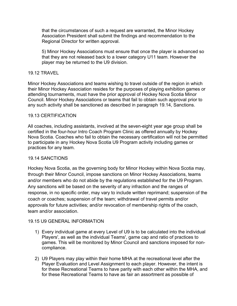that the circumstances of such a request are warranted, the Minor Hockey Association President shall submit the findings and recommendation to the Regional Director for written approval.

5) Minor Hockey Associations must ensure that once the player is advanced so that they are not released back to a lower category U11 team. However the player may be returned to the U9 division.

## 19.12 TRAVEL

Minor Hockey Associations and teams wishing to travel outside of the region in which their Minor Hockey Association resides for the purposes of playing exhibition games or attending tournaments, must have the prior approval of Hockey Nova Scotia Minor Council. Minor Hockey Associations or teams that fail to obtain such approval prior to any such activity shall be sanctioned as described in paragraph 19.14, Sanctions.

### 19.13 CERTIFICATION

All coaches, including assistants, involved at the seven-eight year age group shall be certified in the four-hour Intro Coach Program Clinic as offered annually by Hockey Nova Scotia. Coaches who fail to obtain the necessary certification will not be permitted to participate in any Hockey Nova Scotia U9 Program activity including games or practices for any team.

### 19.14 SANCTIONS

Hockey Nova Scotia, as the governing body for Minor Hockey within Nova Scotia may, through their Minor Council, impose sanctions on Minor Hockey Associations, teams and/or members who do not abide by the regulations established for the U9 Program. Any sanctions will be based on the severity of any infraction and the ranges of response, in no specific order, may vary to include written reprimand; suspension of the coach or coaches; suspension of the team; withdrawal of travel permits and/or approvals for future activities; and/or revocation of membership rights of the coach, team and/or association.

### 19.15 U9 GENERAL INFORMATION

- 1) Every individual game at every Level of U9 is to be calculated into the individual Players', as well as the individual Teams', game cap and ratio of practices to games. This will be monitored by Minor Council and sanctions imposed for noncompliance.
- 2) U9 Players may play within their home MHA at the recreational level after the Player Evaluation and Level Assignment to each player. However, the intent is for these Recreational Teams to have parity with each other within the MHA, and for these Recreational Teams to have as fair an assortment as possible of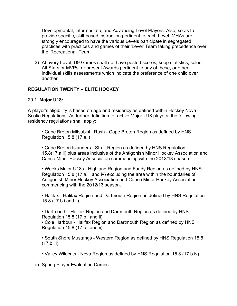Developmental, Intermediate, and Advancing Level Players. Also, so as to provide specific, skill-based instruction pertinent to each Level, MHAs are strongly encouraged to have the various Levels participate in segregated practices with practices and games of their 'Level' Team taking precedence over the 'Recreational' Team.

3) At every Level, U9 Games shall not have posted scores, keep statistics, select All-Stars or MVPs, or present Awards pertinent to any of these, or other, individual skills assessments which indicate the preference of one child over another.

# **REGULATION TWENTY – ELITE HOCKEY**

# 20.1. **Major U18:**

A player's eligibility is based on age and residency as defined within Hockey Nova Scotia Regulations. As further definition for active Major U18 players, the following residency regulations shall apply:

• Cape Breton Mitsubishi Rush - Cape Breton Region as defined by HNS Regulation 15.8 (17.a.i)

• Cape Breton Islanders - Strait Region as defined by HNS Regulation 15.8(17.a.ii) plus areas inclusive of the Antigonish Minor Hockey Association and Canso Minor Hockey Association commencing with the 2012/13 season.

• Weeks Major U18s - Highland Region and Fundy Region as defined by HNS Regulation 15.8 (17.a.iii and iv) excluding the area within the boundaries of Antigonish Minor Hockey Association and Canso Minor Hockey Association commencing with the 2012/13 season.

• Halifax - Halifax Region and Dartmouth Region as defined by HNS Regulation 15.8 (17.b.i and ii)

• Dartmouth - Halifax Region and Dartmouth Region as defined by HNS Regulation 15.8 (17.b.i and ii)

• Cole Harbour - Halifax Region and Dartmouth Region as defined by HNS Regulation 15.8 (17.b.i and ii)

• South Shore Mustangs - Western Region as defined by HNS Regulation 15.8 (17.b.iii)

- Valley Wildcats Nova Region as defined by HNS Regulation 15.8 (17.b.iv)
- a) Spring Player Evaluation Camps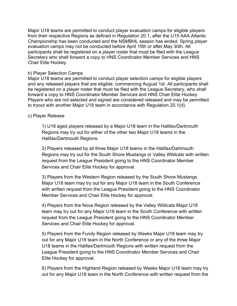Major U18 teams are permitted to conduct player evaluation camps for eligible players from their respective Regions as defined in Regulation 20.1, after the U15 AAA Atlantic Championship has been conducted and the NSMBHL season has ended. Spring player evaluation camps may not be conducted before April 15th or after May 30th. All participants shall be registered on a player roster that must be filed with the League Secretary who shall forward a copy to HNS Coordinator Member Services and HNS Chair Elite Hockey.

### b) Player Selection Camps

Major U18 teams are permitted to conduct player selection camps for eligible players and any released players that are eligible, commencing August 1st. All participants shall be registered on a player roster that must be filed with the League Secretary, who shall forward a copy to HNS Coordinator Member Services and HNS Chair Elite Hockey. Players who are not selected and signed are considered released and may be permitted to tryout with another Major U18 team in accordance with Regulation 20.1(d).

# c) Player Release

1) U18 aged players released by a Major U18 team in the Halifax/Dartmouth Regions may try out for either of the other two Major U18 teams in the Halifax/Dartmouth Regions.

2) Players released by all three Major U18 teams in the Halifax/Dartmouth Regions may try out for the South Shore Mustangs or Valley Wildcats with written request from the League President going to the HNS Coordinator Member Services and Chair Elite Hockey for approval.

3) Players from the Western Region released by the South Shore Mustangs Major U18 team may try out for any Major U18 team in the South Conference with written request from the League President going to the HNS Coordinator Member Services and Chair Elite Hockey for approval.

4) Players from the Nova Region released by the Valley Wildcats Major U18 team may try out for any Major U18 team in the South Conference with written request from the League President going to the HNS Coordinator Member Services and Chair Elite Hockey for approval.

5) Players from the Fundy Region released by Weeks Major U18 team may try out for any Major U18 team in the North Conference or any of the three Major U18 teams in the Halifax/Dartmouth Regions with written request from the League President going to the HNS Coordinator Member Services and Chair Elite Hockey for approval.

6) Players from the Highland Region released by Weeks Major U18 team may try out for any Major U18 team in the North Conference with written request from the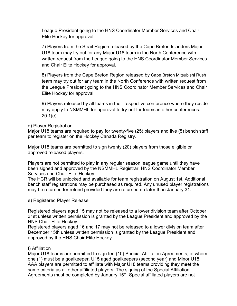League President going to the HNS Coordinator Member Services and Chair Elite Hockey for approval.

7) Players from the Strait Region released by the Cape Breton Islanders Major U18 team may try out for any Major U18 team in the North Conference with written request from the League going to the HNS Coordinator Member Services and Chair Elite Hockey for approval.

8) Players from the Cape Breton Region released by Cape Breton Mitsubishi Rush team may try out for any team in the North Conference with written request from the League President going to the HNS Coordinator Member Services and Chair Elite Hockey for approval.

9) Players released by all teams in their respective conference where they reside may apply to NSMMHL for approval to try-out for teams in other conferences. 20.1(e)

## d) Player Registration

Major U18 teams are required to pay for twenty-five (25) players and five (5) bench staff per team to register on the Hockey Canada Registry.

Major U18 teams are permitted to sign twenty (20) players from those eligible or approved released players.

Players are not permitted to play in any regular season league game until they have been signed and approved by the NSMMHL Registrar, HNS Coordinator Member Services and Chair Elite Hockey.

The HCR will be unlocked and available for team registration on August 1st. Additional bench staff registrations may be purchased as required. Any unused player registrations may be returned for refund provided they are returned no later than January 31.

### e) Registered Player Release

Registered players aged 15 may not be released to a lower division team after October 31st unless written permission is granted by the League President and approved by the HNS Chair Elite Hockey.

Registered players aged 16 and 17 may not be released to a lower division team after December 15th unless written permission is granted by the League President and approved by the HNS Chair Elite Hockey.

### f) Affiliation

Major U18 teams are permitted to sign ten (10) Special Affiliation Agreements, of whom one (1) must be a goalkeeper. U15 aged goalkeepers (second year) and Minor U18 AAA players are permitted to affiliate with Major U18 teams providing they meet the same criteria as all other affiliated players. The signing of the Special Affiliation Agreements must be completed by January 15<sup>th</sup>. Special affiliated players are not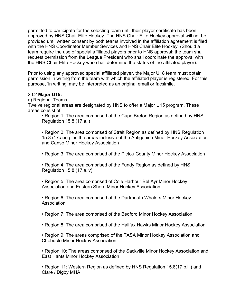permitted to participate for the selecting team until their player certificate has been approved by HNS Chair Elite Hockey. The HNS Chair Elite Hockey approval will not be provided until written consent by both teams involved in the affiliation agreement is filed with the HNS Coordinator Member Services and HNS Chair Elite Hockey. (Should a team require the use of special affiliated players prior to HNS approval; the team shall request permission from the League President who shall coordinate the approval with the HNS Chair Elite Hockey who shall determine the status of the affiliated player).

Prior to using any approved special affiliated player, the Major U18 team must obtain permission in writing from the team with which the affiliated player is registered. For this purpose, 'in writing' may be interpreted as an original email or facsimile.

#### 20.2 **Major U15:**

a) Regional Teams

Twelve regional areas are designated by HNS to offer a Major U15 program. These areas consist of:

• Region 1: The area comprised of the Cape Breton Region as defined by HNS Regulation 15.8 (17.a.i)

• Region 2: The area comprised of Strait Region as defined by HNS Regulation 15.8 (17.a.ii) plus the areas inclusive of the Antigonish Minor Hockey Association and Canso Minor Hockey Association

• Region 3: The area comprised of the Pictou County Minor Hockey Association

• Region 4: The area comprised of the Fundy Region as defined by HNS Regulation 15.8 (17.a.iv)

• Region 5: The area comprised of Cole Harbour Bel Ayr Minor Hockey Association and Eastern Shore Minor Hockey Association

• Region 6: The area comprised of the Dartmouth Whalers Minor Hockey Association

• Region 7: The area comprised of the Bedford Minor Hockey Association

• Region 8: The area comprised of the Halifax Hawks Minor Hockey Association

• Region 9: The areas comprised of the TASA Minor Hockey Association and Chebucto Minor Hockey Association

• Region 10: The areas comprised of the Sackville Minor Hockey Association and East Hants Minor Hockey Association

• Region 11: Western Region as defined by HNS Regulation 15.8(17.b.iii) and Clare / Digby MHA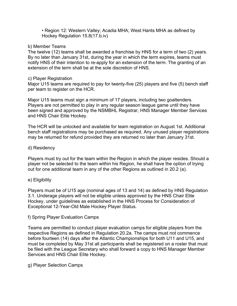• Region 12: Western Valley; Acadia MHA; West Hants MHA as defined by Hockey Regulation 15.8(17.b.iv)

### b) Member Teams

The twelve (12) teams shall be awarded a franchise by HNS for a term of two (2) years. By no later than January 31st, during the year in which the term expires, teams must notify HNS of their intention to re-apply for an extension of the term. The granting of an extension of the term shall be at the sole discretion of HNS.

### c) Player Registration

Major U15 teams are required to pay for twenty-five (25) players and five (5) bench staff per team to register on the HCR.

Major U15 teams must sign a minimum of 17 players, including two goaltenders. Players are not permitted to play in any regular season league game until they have been signed and approved by the NSMBHL Registrar, HNS Manager Member Services and HNS Chair Elite Hockey.

The HCR will be unlocked and available for team registration on August 1st. Additional bench staff registrations may be purchased as required. Any unused player registrations may be returned for refund provided they are returned no later than January 31st.

# d) Residency

Players must try out for the team within the Region in which the player resides. Should a player not be selected to the team within his Region, he shall have the option of trying out for one additional team in any of the other Regions as outlined in 20.2 (a).

# e) Eligibility

Players must be of U15 age (nominal ages of 13 and 14) as defined by HNS Regulation 3.1. Underage players will not be eligible unless approved by the HNS Chair Elite Hockey, under guidelines as established in the HNS Process for Consideration of Exceptional 12-Year-Old Male Hockey Player Status.

### f) Spring Player Evaluation Camps

Teams are permitted to conduct player evaluation camps for eligible players from the respective Regions as defined in Regulation 20.2a. The camps must not commence before fourteen (14) days after the Atlantic Championships for both U11 and U15, and must be completed by May 31st all participants shall be registered on a roster that must be filed with the League Secretary who shall forward a copy to HNS Manager Member Services and HNS Chair Elite Hockey.

# g) Player Selection Camps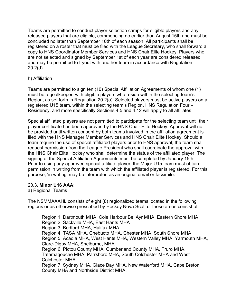Teams are permitted to conduct player selection camps for eligible players and any released players that are eligible, commencing no earlier than August 15th and must be concluded no later than September 10th of each season. All participants shall be registered on a roster that must be filed with the League Secretary, who shall forward a copy to HNS Coordinator Member Services and HNS Chair Elite Hockey. Players who are not selected and signed by September 1st of each year are considered released and may be permitted to tryout with another team in accordance with Regulation 20.2(d).

## h) Affiliation

Teams are permitted to sign ten (10) Special Affiliation Agreements of whom one (1) must be a goalkeeper, with eligible players who reside within the selecting team's Region, as set forth in Regulation 20.2(a). Selected players must be active players on a registered U15 team, within the selecting team's Region. HNS Regulation Four – Residency, and more specifically Sections 4.5 and 4.12 will apply to all affiliates.

Special affiliated players are not permitted to participate for the selecting team until their player certificate has been approved by the HNS Chair Elite Hockey. Approval will not be provided until written consent by both teams involved in the affiliation agreement is filed with the HNS Manager Member Services and HNS Chair Elite Hockey. Should a team require the use of special affiliated players prior to HNS approval; the team shall request permission from the League President who shall coordinate the approval with the HNS Chair Elite Hockey who shall determine the status of the affiliated player. The signing of the Special Affiliation Agreements must be completed by January 15th. Prior to using any approved special affiliate player, the Major U15 team must obtain permission in writing from the team with which the affiliated player is registered. For this purpose, 'in writing' may be interpreted as an original email or facsimile.

### 20.3. **Minor U16 AAA:**

### a) Regional Teams

The NSMMAAAHL consists of eight (8) regionalized teams located in the following regions or as otherwise prescribed by Hockey Nova Scotia. These areas consist of:

Region 1: Dartmouth MHA, Cole Harbour Bel Ayr MHA, Eastern Shore MHA Region 2: Sackville MHA, East Hants MHA Region 3: Bedford MHA, Halifax MHA Region 4: TASA MHA, Chebucto MHA, Chester MHA, South Shore MHA Region 5: Acadia MHA, West Hants MHA, Western Valley MHA, Yarmouth MHA, Clare-Digby MHA, Shelburne, MHA Region 6: Pictou County MHA, Cumberland County MHA, Truro MHA, Tatamagouche MHA, Parrsboro MHA, South Colchester MHA and West Colchester MHA. Region 7: Sydney MHA, Glace Bay MHA, New Waterford MHA, Cape Breton

County MHA and Northside District MHA.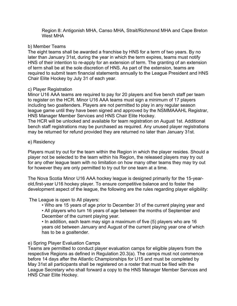Region 8: Antigonish MHA, Canso MHA, Strait/Richmond MHA and Cape Breton West MHA

#### b) Member Teams

The eight teams shall be awarded a franchise by HNS for a term of two years. By no later than January 31st, during the year in which the term expires, teams must notify HNS of their intention to re-apply for an extension of term. The granting of an extension of term shall be at the sole discretion of HNS. As part of the extension, teams are required to submit team financial statements annually to the League President and HNS Chair Elite Hockey by July 31 of each year.

#### c) Player Registration

Minor U16 AAA teams are required to pay for 20 players and five bench staff per team to register on the HCR. Minor U16 AAA teams must sign a minimum of 17 players including two goaltenders. Players are not permitted to play in any regular season league game until they have been signed and approved by the NSMMAAAHL Registrar, HNS Manager Member Services and HNS Chair Elite Hockey.

The HCR will be unlocked and available for team registration on August 1st. Additional bench staff registrations may be purchased as required. Any unused player registrations may be returned for refund provided they are returned no later than January 31st.

#### e) Residency

Players must try out for the team within the Region in which the player resides. Should a player not be selected to the team within his Region, the released players may try out for any other league team with no limitation on how many other teams they may try out for however they are only permitted to try out for one team at a time.

The Nova Scotia Minor U16 AAA hockey league is designed primarily for the 15-yearold,first-year U16 hockey player. To ensure competitive balance and to foster the development aspect of the league, the following are the rules regarding player eligibility:

### The League is open to All players:

• Who are 15 years of age prior to December 31 of the current playing year and • All players who turn 16 years of age between the months of September and December of the current playing year.

• In addition, each team may sign a maximum of five (5) players who are 16 years old between January and August of the current playing year one of which has to be a goaltender.

### e) Spring Player Evaluation Camps

Teams are permitted to conduct player evaluation camps for eligible players from the respective Regions as defined in Regulation 20.3(a). The camps must not commence before 14 days after the Atlantic Championships for U15 and must be completed by May 31st all participants shall be registered on a roster that must be filed with the League Secretary who shall forward a copy to the HNS Manager Member Services and HNS Chair Elite Hockey.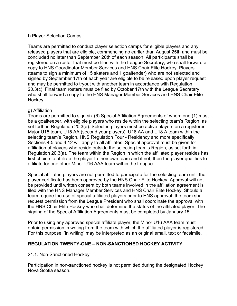### f) Player Selection Camps

Teams are permitted to conduct player selection camps for eligible players and any released players that are eligible, commencing no earlier than August 25th and must be concluded no later than September 20th of each season. All participants shall be registered on a roster that must be filed with the League Secretary, who shall forward a copy to HNS Coordinator Member Services and HNS Chair Elite Hockey. Players (teams to sign a minimum of 15 skaters and 1 goaltender) who are not selected and signed by September 17th of each year are eligible to be released upon player request and may be permitted to tryout with another team in accordance with Regulation 20.3(c). Final team rosters must be filed by October 17th with the League Secretary, who shall forward a copy to the HNS Manager Member Services and HNS Chair Elite Hockey.

#### g) Affiliation

Teams are permitted to sign six (6) Special Affiliation Agreements of whom one (1) must be a goalkeeper, with eligible players who reside within the selecting team's Region, as set forth in Regulation 20.3(a). Selected players must be active players on a registered Major U15 team, U15 AA (second year players), U18 AA and U18 A team within the selecting team's Region. HNS Regulation Four - Residency and more specifically Sections 4.5 and 4.12 will apply to all affiliates. Special approval must be given for affiliation of players who reside outside the selecting team's Region, as set forth in Regulation 20.3(a). The team within the Region in which the affiliated player resides has first choice to affiliate the player to their own team and if not, then the player qualifies to affiliate for one other Minor U16 AAA team within the League.

Special affiliated players are not permitted to participate for the selecting team until their player certificate has been approved by the HNS Chair Elite Hockey. Approval will not be provided until written consent by both teams involved in the affiliation agreement is filed with the HNS Manager Member Services and HNS Chair Elite Hockey. Should a team require the use of special affiliated players prior to HNS approval; the team shall request permission from the League President who shall coordinate the approval with the HNS Chair Elite Hockey who shall determine the status of the affiliated player. The signing of the Special Affiliation Agreements must be completed by January 15.

Prior to using any approved special affiliate player, the Minor U16 AAA team must obtain permission in writing from the team with which the affiliated player is registered. For this purpose, 'in writing' may be interpreted as an original email, text or facsimile.

### **REGULATION TWENTY-ONE – NON-SANCTIONED HOCKEY ACTIVITY**

#### 21.1. Non-Sanctioned Hockey

Participation in non-sanctioned hockey is not permitted during the designated Hockey Nova Scotia season.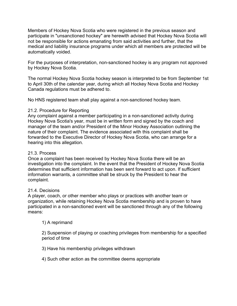Members of Hockey Nova Scotia who were registered in the previous season and participate in "unsanctioned hockey" are herewith advised that Hockey Nova Scotia will not be responsible for actions emanating from said activities and further, that the medical and liability insurance programs under which all members are protected will be automatically voided.

For the purposes of interpretation, non-sanctioned hockey is any program not approved by Hockey Nova Scotia.

The normal Hockey Nova Scotia hockey season is interpreted to be from September 1st to April 30th of the calendar year, during which all Hockey Nova Scotia and Hockey Canada regulations must be adhered to.

No HNS registered team shall play against a non-sanctioned hockey team.

## 21.2. Procedure for Reporting

Any complaint against a member participating in a non-sanctioned activity during Hockey Nova Scotia's year, must be in written form and signed by the coach and manager of the team and/or President of the Minor Hockey Association outlining the nature of their complaint. The evidence associated with this complaint shall be forwarded to the Executive Director of Hockey Nova Scotia, who can arrange for a hearing into this allegation.

# 21.3. Process

Once a complaint has been received by Hockey Nova Scotia there will be an investigation into the complaint. In the event that the President of Hockey Nova Scotia determines that sufficient information has been sent forward to act upon. If sufficient information warrants, a committee shall be struck by the President to hear the complaint.

### 21.4. Decisions

A player, coach, or other member who plays or practices with another team or organization, while retaining Hockey Nova Scotia membership and is proven to have participated in a non-sanctioned event will be sanctioned through any of the following means:

### 1) A reprimand

2) Suspension of playing or coaching privileges from membership for a specified period of time

3) Have his membership privileges withdrawn

4) Such other action as the committee deems appropriate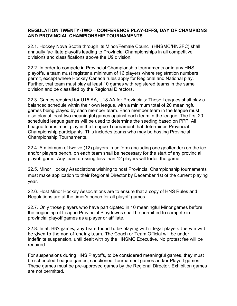### **REGULATION TWENTY-TWO – CONFERENCE PLAY-OFFS, DAY OF CHAMPIONS AND PROVINCIAL CHAMPIONSHIP TOURNAMENTS**

22.1. Hockey Nova Scotia through its Minor/Female Council (HNSMC/HNSFC) shall annually facilitate playoffs leading to Provincial Championships in all competitive divisions and classifications above the U9 division.

22.2. In order to compete in Provincial Championship tournaments or in any HNS playoffs, a team must register a minimum of 16 players where registration numbers permit, except where Hockey Canada rules apply for Regional and National play. Further, that team must play at least 10 games with registered teams in the same division and be classified by the Regional Directors.

22.3. Games required for U15 AA, U18 AA for Provincials: These Leagues shall play a balanced schedule within their own league, with a minimum total of 20 meaningful games being played by each member team. Each member team in the league must also play at least two meaningful games against each team in the league. The first 20 scheduled league games will be used to determine the seeding based on PPP. All League teams must play in the League Tournament that determines Provincial Championship participants. This includes teams who may be hosting Provincial Championship Tournaments.

22.4. A minimum of twelve (12) players in uniform (including one goaltender) on the ice and/or players bench, on each team shall be necessary for the start of any provincial playoff game. Any team dressing less than 12 players will forfeit the game.

22.5. Minor Hockey Associations wishing to host Provincial Championship tournaments must make application to their Regional Director by December 1st of the current playing year.

22.6. Host Minor Hockey Associations are to ensure that a copy of HNS Rules and Regulations are at the timer's bench for all playoff games.

22.7. Only those players who have participated in 10 meaningful Minor games before the beginning of League Provincial Playdowns shall be permitted to compete in provincial playoff games as a player or affiliate.

22.8. In all HNS games, any team found to be playing with illegal players the win will be given to the non-offending team. The Coach or Team Official will be under indefinite suspension, until dealt with by the HNSMC Executive. No protest fee will be required.

For suspensions during HNS Playoffs, to be considered meaningful games, they must be scheduled League games, sanctioned Tournament games and/or Playoff games. These games must be pre-approved games by the Regional Director. Exhibition games are not permitted.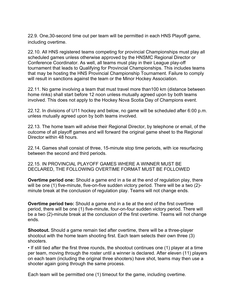22.9. One,30-second time out per team will be permitted in each HNS Playoff game, including overtime.

22.10. All HNS registered teams competing for provincial Championships must play all scheduled games unless otherwise approved by the HNSMC Regional Director or Conference Coordinator. As well, all teams must play in their League play-off tournament that leads to Qualifying for Provincial Championships. This includes teams that may be hosting the HNS Provincial Championship Tournament. Failure to comply will result in sanctions against the team or the Minor Hockey Association.

22.11. No game involving a team that must travel more than100 km (distance between home rinks) shall start before 12 noon unless mutually agreed upon by both teams involved. This does not apply to the Hockey Nova Scotia Day of Champions event.

22.12. In divisions of U11 hockey and below, no game will be scheduled after 6:00 p.m. unless mutually agreed upon by both teams involved.

22.13. The home team will advise their Regional Director, by telephone or email, of the outcome of all playoff games and will forward the original game sheet to the Regional Director within 48 hours.

22.14. Games shall consist of three, 15-minute stop time periods, with ice resurfacing between the second and third periods.

22.15. IN PROVINCIAL PLAYOFF GAMES WHERE A WINNER MUST BE DECLARED, THE FOLLOWING OVERTIME FORMAT MUST BE FOLLOWED

**Overtime period one:** Should a game end in a tie at the end of regulation play, there will be one (1) five-minute, five-on-five sudden victory period. There will be a two (2) minute break at the conclusion of regulation play. Teams will not change ends.

**Overtime period two:** Should a game end in a tie at the end of the first overtime period, there will be one (1) five-minute, four-on-four sudden victory period. There will be a two (2)-minute break at the conclusion of the first overtime. Teams will not change ends.

**Shootout.** Should a game remain tied after overtime, there will be a three-player shootout with the home team shooting first. Each team selects their own three (3) shooters.

• If still tied after the first three rounds, the shootout continues one (1) player at a time per team, moving through the roster until a winner is declared. After eleven (11) players on each team (including the original three shooters) have shot, teams may then use a shooter again going through the same process.

Each team will be permitted one (1) timeout for the game, including overtime.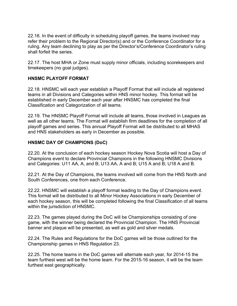22.16. In the event of difficulty in scheduling playoff games, the teams involved may refer their problem to the Regional Director(s) and or the Conference Coordinator for a ruling. Any team declining to play as per the Director's/Conference Coordinator's ruling shall forfeit the series.

22.17. The host MHA or Zone must supply minor officials, including scorekeepers and timekeepers (no goal judges).

# **HNSMC PLAYOFF FORMAT**

22.18. HNSMC will each year establish a Playoff Format that will include all registered teams in all Divisions and Categories within HNS minor hockey. This format will be established in early December each year after HNSMC has completed the final Classification and Categorization of all teams.

22.19. The HNSMC Playoff Format will include all teams, those involved in Leagues as well as all other teams. The Format will establish firm deadlines for the completion of all playoff games and series. This annual Playoff Format will be distributed to all MHAS and HNS stakeholders as early in December as possible.

# **HNSMC DAY OF CHAMPIONS (DoC)**

22.20. At the conclusion of each hockey season Hockey Nova Scotia will host a Day of Champions event to declare Provincial Champions in the following HNSMC Divisions and Categories: U11 AA, A, and B; U13 AA, A and B; U15 A and B; U18 A and B.

22.21. At the Day of Champions, the teams involved will come from the HNS North and South Conferences, one from each Conference.

22.22. HNSMC will establish a playoff format leading to the Day of Champions event. This format will be distributed to all Minor Hockey Associations in early December of each hockey season, this will be completed following the final Classification of all teams within the jurisdiction of HNSMC.

22.23. The games played during the DoC will be Championships consisting of one game, with the winner being declared the Provincial Champion. The HNS Provincial banner and plaque will be presented, as well as gold and silver medals.

22.24. The Rules and Regulations for the DoC games will be those outlined for the Championship games in HNS Regulation 23.

22.25. The home teams in the DoC games will alternate each year, for 2014-15 the team furthest west will be the home team. For the 2015-16 season, it will be the team furthest east geographically.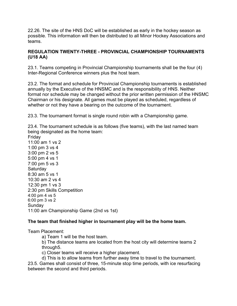22.26. The site of the HNS DoC will be established as early in the hockey season as possible. This information will then be distributed to all Minor Hockey Associations and teams.

## **REGULATION TWENTY-THREE - PROVINCIAL CHAMPIONSHIP TOURNAMENTS (U18 AA)**

23.1. Teams competing in Provincial Championship tournaments shall be the four (4) Inter-Regional Conference winners plus the host team.

23.2. The format and schedule for Provincial Championship tournaments is established annually by the Executive of the HNSMC and is the responsibility of HNS. Neither format nor schedule may be changed without the prior written permission of the HNSMC Chairman or his designate. All games must be played as scheduled, regardless of whether or not they have a bearing on the outcome of the tournament.

23.3. The tournament format is single round robin with a Championship game.

23.4. The tournament schedule is as follows (five teams), with the last named team being designated as the home team:

Friday 11:00 am 1 vs 2 1:00 pm 3 vs 4 3:00 pm 2 vs 5 5:00 pm 4 vs 1 7:00 pm 5 vs 3 **Saturday** 8:30 am 5 vs 1 10:30 am 2 vs 4 12:30 pm 1 vs 3 2:30 pm Skills Competition 4:00 pm 4 vs 5 6:00 pm 3 vs 2 Sunday 11:00 am Championship Game (2nd vs 1st)

# **The team that finished higher in tournament play will be the home team.**

Team Placement:

a) Team 1 will be the host team.

b) The distance teams are located from the host city will determine teams 2 through5.

c) Closer teams will receive a higher placement.

d) This is to allow teams from further away time to travel to the tournament.

23.5. Games shall consist of three, 15-minute stop time periods, with ice resurfacing between the second and third periods.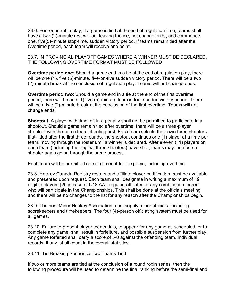23.6. For round robin play, if a game is tied at the end of regulation time, teams shall have a two (2)-minute rest without leaving the ice, not change ends, and commence one, five(5)-minute stop-time, sudden victory period. If teams remain tied after the Overtime period, each team will receive one point.

23.7. IN PROVINCIAL PLAYOFF GAMES WHERE A WINNER MUST BE DECLARED, THE FOLLOWING OVERTIME FORMAT MUST BE FOLLOWED

**Overtime period one:** Should a game end in a tie at the end of regulation play, there will be one (1), five (5)-minute, five-on-five sudden victory period. There will be a two (2)-minute break at the conclusion of regulation play. Teams will not change ends.

**Overtime period two:** Should a game end in a tie at the end of the first overtime period, there will be one (1) five (5)-minute, four-on-four sudden victory period. There will be a two (2)-minute break at the conclusion of the first overtime. Teams will not change ends.

**Shootout.** A player with time left in a penalty shall not be permitted to participate in a shootout. Should a game remain tied after overtime, there will be a three-player shootout with the home team shooting first. Each team selects their own three shooters. If still tied after the first three rounds, the shootout continues one (1) player at a time per team, moving through the roster until a winner is declared. After eleven (11) players on each team (including the original three shooters) have shot, teams may then use a shooter again going through the same process.

Each team will be permitted one (1) timeout for the game, including overtime.

23.8. Hockey Canada Registry rosters and affiliate player certification must be available and presented upon request. Each team shall designate in writing a maximum of 19 eligible players (20 in case of U18 AA), regular, affiliated or any combination thereof who will participate in the Championships. This shall be done at the officials meeting and there will be no changes to the list for any reason after the Championships begin.

23.9. The host Minor Hockey Association must supply minor officials, including scorekeepers and timekeepers. The four (4)-person officiating system must be used for all games.

23.10. Failure to present player credentials, to appear for any game as scheduled, or to complete any game, shall result in forfeiture, and possible suspension from further play. Any game forfeited shall carry a score of 5-0 against the offending team. Individual records, if any, shall count in the overall statistics.

23.11. Tie Breaking Sequence Two Teams Tied

If two or more teams are tied at the conclusion of a round robin series, then the following procedure will be used to determine the final ranking before the semi-final and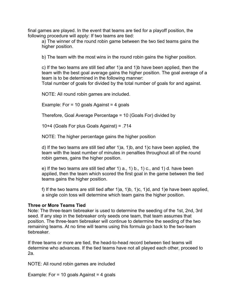final games are played. In the event that teams are tied for a playoff position, the following procedure will apply: If two teams are tied:

a) The winner of the round robin game between the two tied teams gains the higher position.

b) The team with the most wins in the round robin gains the higher position.

c) If the two teams are still tied after 1)a and 1)b have been applied, then the team with the best goal average gains the higher position. The goal average of a team is to be determined in the following manner:

Total number of goals for divided by the total number of goals for and against.

NOTE: All round robin games are included.

Example: For  $= 10$  goals Against  $= 4$  goals

Therefore, Goal Average Percentage = 10 (Goals For) divided by

10+4 (Goals For plus Goals Against) = .714

NOTE: The higher percentage gains the higher position

d) If the two teams are still tied after 1)a, 1)b, and 1)c have been applied, the team with the least number of minutes in penalties throughout all of the round robin games, gains the higher position.

e) If the two teams are still tied after 1)  $a, 1$  b, 1  $c,$  and 1) d. have been applied, then the team which scored the first goal in the game between the tied teams gains the higher position.

f) If the two teams are still tied after 1)a, 1)b, 1)c, 1)d, and 1)e have been applied, a single coin toss will determine which team gains the higher position.

#### **Three or More Teams Tied**

Note: The three-team tiebreaker is used to determine the seeding of the 1st, 2nd, 3rd seed. If any step in the tiebreaker only seeds one team, that team assumes that position. The three-team tiebreaker will continue to determine the seeding of the two remaining teams. At no time will teams using this formula go back to the two-team tiebreaker.

If three teams or more are tied, the head-to-head record between tied teams will determine who advances. If the tied teams have not all played each other, proceed to 2a.

NOTE: All round robin games are included

Example: For  $= 10$  goals Against  $= 4$  goals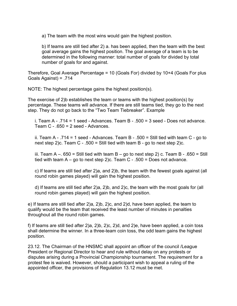a) The team with the most wins would gain the highest position.

b) If teams are still tied after 2) a. has been applied, then the team with the best goal average gains the highest position. The goal average of a team is to be determined in the following manner: total number of goals for divided by total number of goals for and against.

Therefore, Goal Average Percentage = 10 (Goals For) divided by 10+4 (Goals For plus Goals Against) = .714

NOTE: The highest percentage gains the highest position(s).

The exercise of 2)b establishes the team or teams with the highest position(s) by percentage. These teams will advance. If there are still teams tied, they go to the next step. They do not go back to the "Two Team Tiebreaker". Example

i. Team  $A - 0.714 = 1$  seed - Advances. Team  $B - 0.500 = 3$  seed - Does not advance. Team  $C - .650 = 2$  seed - Advances.

ii. Team A - .714 = 1 seed - Advances. Team B - .500 = Still tied with team C - go to next step 2)c. Team C - .500 = Still tied with team B - go to next step 2)c.

iii. Team A –.  $650 = Still$  tied with team B – go to next step 2) c. Team B - .650 = Still tied with team  $A - go$  to next step 2)c. Team  $C - 0.500 = Does$  not advance.

c) If teams are still tied after 2)a, and 2)b, the team with the fewest goals against (all round robin games played) will gain the highest position.

d) If teams are still tied after 2)a, 2)b, and 2)c, the team with the most goals for (all round robin games played) will gain the highest position.

e) If teams are still tied after 2)a, 2)b, 2)c, and 2)d, have been applied, the team to qualify would be the team that received the least number of minutes in penalties throughout all the round robin games.

f) If teams are still tied after 2)a, 2)b, 2)c, 2)d, and 2)e, have been applied, a coin toss shall determine the winner. In a three-team coin toss, the odd team gains the highest position.

23.12. The Chairman of the HNSMC shall appoint an officer of the council /League President or Regional Director to hear and rule without delay on any protests or disputes arising during a Provincial Championship tournament. The requirement for a protest fee is waived. However, should a participant wish to appeal a ruling of the appointed officer, the provisions of Regulation 13.12 must be met.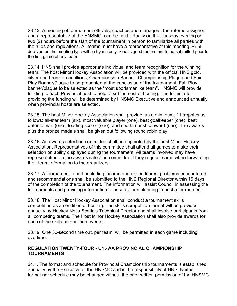23.13. A meeting of tournament officials, coaches and managers, the referee assignor, and a representative of the HNSMC, can be held virtually on the Tuesday evening or two (2) hours before the start of the tournament in person to familiarize all parties with the rules and regulations. All teams must have a representative at this meeting. Final decision on the meeting type will be by majority. Final signed rosters are to be submitted prior to the first game of any team.

23.14. HNS shall provide appropriate individual and team recognition for the winning team. The host Minor Hockey Association will be provided with the official HNS gold, silver and bronze medallions, Championship Banner, Championship Plaque and Fair Play Banner/Plaque to be presented at the conclusion of the tournament. Fair Play banner/plaque to be selected as the "most sportsmanlike team". HNSMC will provide funding to each Provincial host to help offset the cost of hosting. The formula for providing the funding will be determined by HNSMC Executive and announced annually when provincial hosts are selected.

23.15. The host Minor Hockey Association shall provide, as a minimum, 11 trophies as follows: all-star team (six), most valuable player (one), best goalkeeper (one), best defenseman (one), leading scorer (one), and sportsmanship award (one). The awards plus the bronze medals shall be given out following round robin play.

23.16. An awards selection committee shall be appointed by the host Minor Hockey Association. Representatives of this committee shall attend all games to make their selection on ability displayed during the tournament. All teams involved may have representation on the awards selection committee if they request same when forwarding their team information to the organizers.

23.17. A tournament report, including income and expenditures, problems encountered, and recommendations shall be submitted to the HNS Regional Director within 15 days of the completion of the tournament. The information will assist Council in assessing the tournaments and providing information to associations planning to host a tournament.

23.18. The Host Minor Hockey Association shall conduct a tournament skills competition as a condition of hosting. The skills competition format will be provided annually by Hockey Nova Scotia's Technical Director and shall involve participants from all competing teams. The Host Minor Hockey Association shall also provide awards for each of the skills competition events.

23.19. One 30-second time out, per team, will be permitted in each game including overtime.

## **REGULATION TWENTY-FOUR - U15 AA PROVINCIAL CHAMPIONSHIP TOURNAMENTS**

24.1. The format and schedule for Provincial Championship tournaments is established annually by the Executive of the HNSMC and is the responsibility of HNS. Neither format nor schedule may be changed without the prior written permission of the HNSMC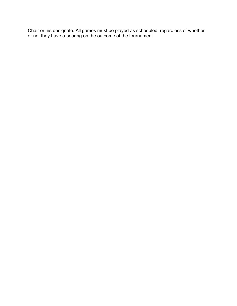Chair or his designate. All games must be played as scheduled, regardless of whether or not they have a bearing on the outcome of the tournament.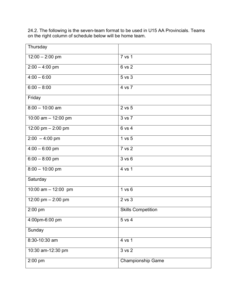24.2. The following is the seven-team format to be used in U15 AA Provincials. Teams on the right column of schedule below will be home team.

| Thursday              |                           |
|-----------------------|---------------------------|
| $12:00 - 2:00$ pm     | 7 vs 1                    |
| $2:00 - 4:00$ pm      | 6 vs 2                    |
| $4:00 - 6:00$         | 5 vs 3                    |
| $6:00 - 8:00$         | 4 vs 7                    |
| Friday                |                           |
| $8:00 - 10:00$ am     | 2 vs 5                    |
| 10:00 am $-$ 12:00 pm | 3 vs 7                    |
| 12:00 pm $-$ 2:00 pm  | 6 vs 4                    |
| $2:00 - 4:00$ pm      | 1 vs 5                    |
| $4:00 - 6:00$ pm      | 7 vs 2                    |
| $6:00 - 8:00$ pm      | 3 v s 6                   |
| $8:00 - 10:00$ pm     | 4 vs 1                    |
| Saturday              |                           |
| 10:00 am $-$ 12:00 pm | 1 vs 6                    |
| 12:00 pm - 2:00 pm    | 2 vs 3                    |
| 2:00 pm               | <b>Skills Competition</b> |
| 4:00pm-6:00 pm        | 5 vs 4                    |
| Sunday                |                           |
| 8:30-10:30 am         | 4 vs 1                    |
| 10:30 am-12:30 pm     | 3 vs 2                    |
| 2:00 pm               | <b>Championship Game</b>  |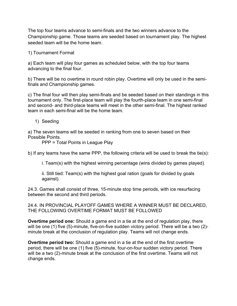The top four teams advance to semi-finals and the two winners advance to the Championship game. Those teams are seeded based on tournament play. The highest seeded team will be the home team.

1) Tournament Format

a) Each team will play four games as scheduled below, with the top four teams advancing to the final four.

b) There will be no overtime in round robin play. Overtime will only be used in the semifinals and Championship games.

c) The final four will then play semi-finals and be seeded based on their standings in this tournament only. The first-place team will play the fourth-place team in one semi-final and second- and third-place teams will meet in the other semi-final. The highest ranked team in each semi-final will be the home team.

1) Seeding

a) The seven teams will be seeded in ranking from one to seven based on their Possible Points.

PPP = Total Points in League Play

b) If any teams have the same PPP, the following criteria will be used to break the tie(s):

i. Team(s) with the highest winning percentage (wins divided by games played).

ii. Still tied: Team(s) with the highest goal ration (goals for divided by goals against).

24.3. Games shall consist of three, 15-minute stop time periods, with ice resurfacing between the second and third periods.

24.4. IN PROVINCIAL PLAYOFF GAMES WHERE A WINNER MUST BE DECLARED, THE FOLLOWING OVERTIME FORMAT MUST BE FOLLOWED

**Overtime period one:** Should a game end in a tie at the end of regulation play, there will be one (1) five (5)-minute, five-on-five sudden victory period. There will be a two (2) minute break at the conclusion of regulation play. Teams will not change ends.

**Overtime period two:** Should a game end in a tie at the end of the first overtime period, there will be one (1) five (5)-minute, four-on-four sudden victory period. There will be a two (2)-minute break at the conclusion of the first overtime. Teams will not change ends.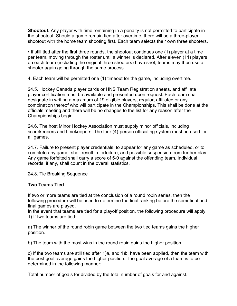**Shootout.** Any player with time remaining in a penalty is not permitted to participate in the shootout. Should a game remain tied after overtime, there will be a three-player shootout with the home team shooting first. Each team selects their own three shooters.

• If still tied after the first three rounds, the shootout continues one (1) player at a time per team, moving through the roster until a winner is declared. After eleven (11) players on each team (including the original three shooters) have shot, teams may then use a shooter again going through the same process.

4. Each team will be permitted one (1) timeout for the game, including overtime.

24.5. Hockey Canada player cards or HNS Team Registration sheets, and affiliate player certification must be available and presented upon request. Each team shall designate in writing a maximum of 19 eligible players, regular, affiliated or any combination thereof who will participate in the Championships. This shall be done at the officials meeting and there will be no changes to the list for any reason after the Championships begin.

24.6. The host Minor Hockey Association must supply minor officials, including scorekeepers and timekeepers. The four (4)-person officiating system must be used for all games.

24.7. Failure to present player credentials, to appear for any game as scheduled, or to complete any game, shall result in forfeiture, and possible suspension from further play. Any game forfeited shall carry a score of 5-0 against the offending team. Individual records, if any, shall count in the overall statistics.

24.8. Tie Breaking Sequence

## **Two Teams Tied**

If two or more teams are tied at the conclusion of a round robin series, then the following procedure will be used to determine the final ranking before the semi-final and final games are played.

In the event that teams are tied for a playoff position, the following procedure will apply: 1) If two teams are tied:

a) The winner of the round robin game between the two tied teams gains the higher position.

b) The team with the most wins in the round robin gains the higher position.

c) If the two teams are still tied after 1)a, and 1)b, have been applied, then the team with the best goal average gains the higher position. The goal average of a team is to be determined in the following manner:

Total number of goals for divided by the total number of goals for and against.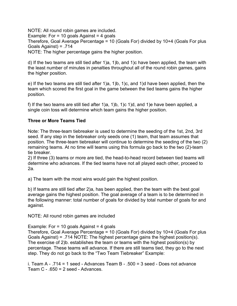NOTE: All round robin games are included. Example: For  $= 10$  goals Against  $= 4$  goals Therefore, Goal Average Percentage = 10 (Goals For) divided by 10+4 (Goals For plus Goals Against) = .714 NOTE: The higher percentage gains the higher position.

d) If the two teams are still tied after 1)a, 1)b, and 1)c have been applied, the team with the least number of minutes in penalties throughout all of the round robin games, gains the higher position.

e) If the two teams are still tied after 1)a, 1)b, 1)c, and 1)d have been applied, then the team which scored the first goal in the game between the tied teams gains the higher position.

f) If the two teams are still tied after  $1$ )a,  $1$ )b,  $1$ )c  $1$ )d, and  $1$ )e have been applied, a single coin toss will determine which team gains the higher position.

# **Three or More Teams Tied**

Note: The three-team tiebreaker is used to determine the seeding of the 1st, 2nd, 3rd seed. If any step in the tiebreaker only seeds one (1) team, that team assumes that position. The three-team tiebreaker will continue to determine the seeding of the two (2) remaining teams. At no time will teams using this formula go back to the two (2)-team tie breaker.

2) If three (3) teams or more are tied, the head-to-head record between tied teams will determine who advances. If the tied teams have not all played each other, proceed to 2a.

a) The team with the most wins would gain the highest position.

b) If teams are still tied after 2)a, has been applied, then the team with the best goal average gains the highest position. The goal average of a team is to be determined in the following manner: total number of goals for divided by total number of goals for and against.

NOTE: All round robin games are included

## Example: For = 10 goals Against = 4 goals

Therefore, Goal Average Percentage = 10 (Goals For) divided by 10+4 (Goals For plus Goals Against) = .714 NOTE: The highest percentage gains the highest position(s). The exercise of 2)b. establishes the team or teams with the highest position(s) by percentage. These teams will advance. If there are still teams tied, they go to the next step. They do not go back to the "Two Team Tiebreaker" Example:

i. Team A - .714 = 1 seed - Advances Team B - .500 = 3 seed - Does not advance Team  $C - .650 = 2$  seed - Advances.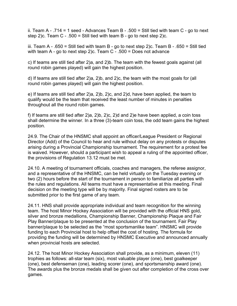ii. Team A - .714 = 1 seed - Advances Team B - .500 = Still tied with team C - go to next step 2)c. Team C - .500 = Still tied with team B - go to next step 2)c.

iii. Team A - .650 = Still tied with team B - go to next step 2)c. Team B - .650 = Still tied with team A - go to next step 2)c. Team C - .500 = Does not advance

c) If teams are still tied after 2)a, and 2)b. The team with the fewest goals against (all round robin games played) will gain the highest position.

d) If teams are still tied after 2)a, 2)b, and 2)c, the team with the most goals for (all round robin games played) will gain the highest position.

e) If teams are still tied after 2)a, 2)b, 2)c, and 2)d, have been applied, the team to qualify would be the team that received the least number of minutes in penalties throughout all the round robin games.

f) If teams are still tied after 2)a, 2)b, 2)c, 2)d and 2)e have been applied, a coin toss shall determine the winner. In a three (3)-team coin toss, the odd team gains the highest position.

24.9. The Chair of the HNSMC shall appoint an officer/League President or Regional Director (Add) of the Council to hear and rule without delay on any protests or disputes arising during a Provincial Championship tournament. The requirement for a protest fee is waived. However, should a participant wish to appeal a ruling of the appointed officer, the provisions of Regulation 13.12 must be met.

24.10. A meeting of tournament officials, coaches and managers, the referee assignor, and a representative of the HNSMC, can be held virtually on the Tuesday evening or two (2) hours before the start of the tournament in person to familiarize all parties with the rules and regulations. All teams must have a representative at this meeting. Final decision on the meeting type will be by majority. Final signed rosters are to be submitted prior to the first game of any team.

24.11. HNS shall provide appropriate individual and team recognition for the winning team. The host Minor Hockey Association will be provided with the official HNS gold, silver and bronze medallions, Championship Banner, Championship Plaque and Fair Play Banner/plaque to be presented at the conclusion of the tournament. Fair Play banner/plaque to be selected as the "most sportsmanlike team". HNSMC will provide funding to each Provincial host to help offset the cost of hosting. The formula for providing the funding will be determined by HNSMC Executive and announced annually when provincial hosts are selected.

24.12. The host Minor Hockey Association shall provide, as a minimum, eleven (11) trophies as follows: all-star team (six), most valuable player (one), best goalkeeper (one), best defenseman (one), leading scorer (one), and sportsmanship award (one). The awards plus the bronze medals shall be given out after completion of the cross over games.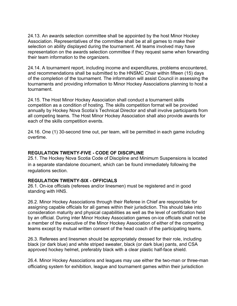24.13. An awards selection committee shall be appointed by the host Minor Hockey Association. Representatives of the committee shall be at all games to make their selection on ability displayed during the tournament. All teams involved may have representation on the awards selection committee if they request same when forwarding their team information to the organizers.

24.14. A tournament report, including income and expenditures, problems encountered, and recommendations shall be submitted to the HNSMC Chair within fifteen (15) days of the completion of the tournament. The information will assist Council in assessing the tournaments and providing information to Minor Hockey Associations planning to host a tournament.

24.15. The Host Minor Hockey Association shall conduct a tournament skills competition as a condition of hosting. The skills competition format will be provided annually by Hockey Nova Scotia's Technical Director and shall involve participants from all competing teams. The Host Minor Hockey Association shall also provide awards for each of the skills competition events.

24.16. One (1) 30-second time out, per team, will be permitted in each game including overtime.

#### **REGULATION TWENTY-FIVE - CODE OF DISCIPLINE**

25.1. The Hockey Nova Scotia Code of Discipline and Minimum Suspensions is located in a separate standalone document, which can be found immediately following the regulations section.

#### **REGULATION TWENTY-SIX - OFFICIALS**

26.1. On-ice officials (referees and/or linesmen) must be registered and in good standing with HNS.

26.2. Minor Hockey Associations through their Referee in Chief are responsible for assigning capable officials for all games within their jurisdiction. This should take into consideration maturity and physical capabilities as well as the level of certification held by an official. During inter Minor Hockey Association games on-ice officials shall not be a member of the executive of the Minor Hockey Association of either of the competing teams except by mutual written consent of the head coach of the participating teams.

26.3. Referees and linesmen should be appropriately dressed for their role, including black (or dark blue) and white striped sweater, black (or dark blue) pants, and CSA approved hockey helmet, preferably black with a clear plastic half-face shield.

26.4. Minor Hockey Associations and leagues may use either the two-man or three-man officiating system for exhibition, league and tournament games within their jurisdiction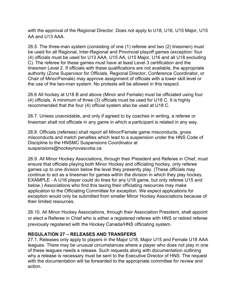with the approval of the Regional Director. Does not apply to U18, U16, U15 Major, U15 AA and U13 AAA.

26.5. The three-man system (consisting of one (1) referee and two (2) linesmen) must be used for all Regional, Inter-Regional and Provincial playoff games (exception: four (4) officials must be used for U13 AAA, U15 AA, U15 Major, U16 and all U18 excluding C). The referee for these games must have at least Level 3 certification and the linesmen Level 2. If officials with these qualifications are not available, the appropriate authority (Zone Supervisor for Officials, Regional Director, Conference Coordinator, or Chair of Minor/Female) may approve assignment of officials with a lower skill level or the use of the two-man system. No protests will be allowed in this respect.

26.6 All hockey at U18 B and above (Minor and Female) must be officiated using four (4) officials. A minimum of three (3) officials must be used for U18 C. It is highly recommended that the four (4) official system also be used at U18 C.

26.7. Unless unavoidable, and only if agreed to by coaches in writing, a referee or linesman shall not officiate in any game in which a participant is related in any way.

26.8. Officials (referees) shall report all Minor/Female game misconducts, gross misconducts and match penalties which lead to a suspension under the HNS Code of Discipline to the HNSMC Suspensions Coordinator at suspensions@hockeynovascotia.ca

26.9. All Minor Hockey Associations, through their President and Referee in Chief, must ensure that officials playing both Minor Hockey and officiating hockey, only referee games up to one division below the level they presently play. (These officials may continue to act as a linesman for games within the division in which they play hockey. EXAMPLE - A U18 player could do lines for any U18 game, but only referee U15 and below.) Associations who find this taxing their officiating resources may make application to the Officiating Committee for exception. We expect applications for exception would only be submitted from smaller Minor Hockey Associations because of their limited resources.

26.10. All Minor Hockey Associations, through their Association President, shall appoint or elect a Referee in Chief who is either a registered referee with HNS or retired referee previously registered with the Hockey Canada/HNS officiating system.

## **REGULATION 27 – RELEASES AND TRANSFERS**

27.1. Releases only apply to players in the Major U18, Major U15 and Female U18 AAA leagues. There may be unusual circumstances where a player who does not play in one of these leagues needs a release. Such requests along with documentation outlining why a release is necessary must be sent to the Executive Director of HNS. The request with the documentation will be forwarded to the appropriate committee for review and action.